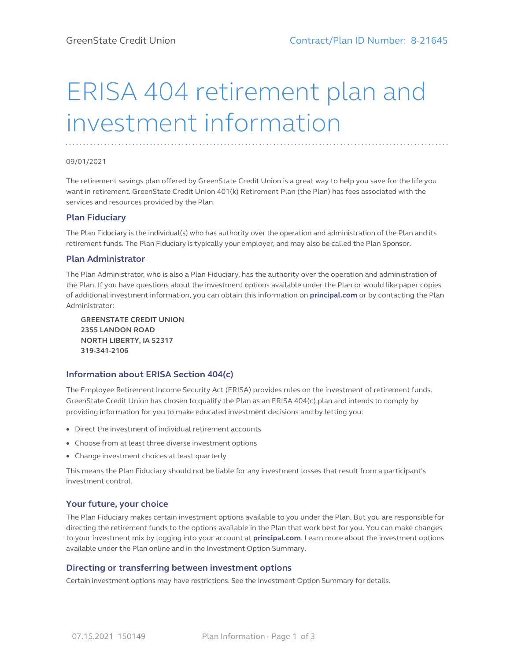# ERISA 404 retirement plan and investment information

#### 09/01/2021

The retirement savings plan offered by GreenState Credit Union is a great way to help you save for the life you want in retirement. GreenState Credit Union 401(k) Retirement Plan (the Plan) has fees associated with the services and resources provided by the Plan.

### **Plan Fiduciary**

The Plan Fiduciary is the individual(s) who has authority over the operation and administration of the Plan and its retirement funds. The Plan Fiduciary is typically your employer, and may also be called the Plan Sponsor.

#### **Plan Administrator**

The Plan Administrator, who is also a Plan Fiduciary, has the authority over the operation and administration of the Plan. If you have questions about the investment options available under the Plan or would like paper copies of additional investment information, you can obtain this information on **[principal.com](https://www.principal.com)** or by contacting the Plan Administrator:

**GREENSTATE CREDIT UNION 2355 LANDON ROAD NORTH LIBERTY, IA 52317 319-341-2106**

### **Information about ERISA Section 404(c)**

The Employee Retirement Income Security Act (ERISA) provides rules on the investment of retirement funds. GreenState Credit Union has chosen to qualify the Plan as an ERISA 404(c) plan and intends to comply by providing information for you to make educated investment decisions and by letting you:

- Direct the investment of individual retirement accounts
- Choose from at least three diverse investment options
- Change investment choices at least quarterly

This means the Plan Fiduciary should not be liable for any investment losses that result from a participant's investment control.

# **Your future, your choice**

The Plan Fiduciary makes certain investment options available to you under the Plan. But you are responsible for directing the retirement funds to the options available in the Plan that work best for you. You can make changes to your investment mix by logging into your account at **[principal.com](https://www.principal.com)**. Learn more about the investment options available under the Plan online and in the Investment Option Summary.

### **Directing or transferring between investment options**

Certain investment options may have restrictions. See the Investment Option Summary for details.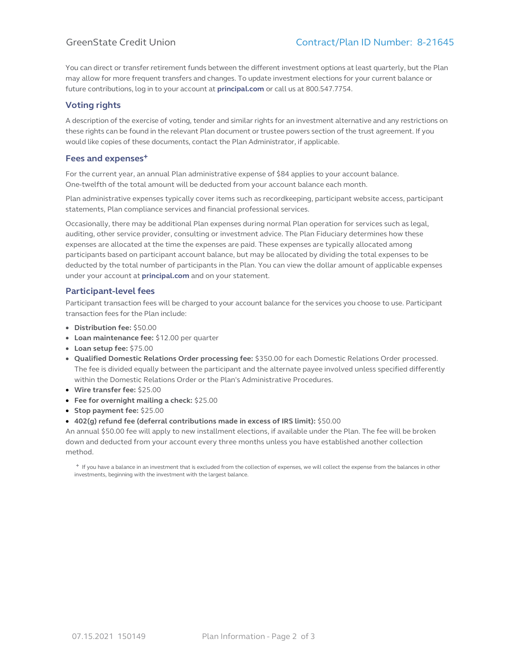You can direct or transfer retirement funds between the different investment options at least quarterly, but the Plan may allow for more frequent transfers and changes. To update investment elections for your current balance or future contributions, log in to your account at **[principal.com](https://www.principal.com)** or call us at 800.547.7754.

# **Voting rights**

A description of the exercise of voting, tender and similar rights for an investment alternative and any restrictions on these rights can be found in the relevant Plan document or trustee powers section of the trust agreement. If you would like copies of these documents, contact the Plan Administrator, if applicable.

# **Fees and expenses+**

For the current year, an annual Plan administrative expense of \$84 applies to your account balance. One-twelfth of the total amount will be deducted from your account balance each month.

Plan administrative expenses typically cover items such as recordkeeping, participant website access, participant statements, Plan compliance services and financial professional services.

Occasionally, there may be additional Plan expenses during normal Plan operation for services such as legal, auditing, other service provider, consulting or investment advice. The Plan Fiduciary determines how these expenses are allocated at the time the expenses are paid. These expenses are typically allocated among participants based on participant account balance, but may be allocated by dividing the total expenses to be deducted by the total number of participants in the Plan. You can view the dollar amount of applicable expenses under your account at **[principal.com](https://www.principal.com)** and on your statement.

# **Participant-level fees**

Participant transaction fees will be charged to your account balance for the services you choose to use. Participant transaction fees for the Plan include:

- **Distribution fee:** \$50.00
- **Loan maintenance fee:** \$12.00 per quarter
- **Loan setup fee:** \$75.00
- **Qualified Domestic Relations Order processing fee:** \$350.00 for each Domestic Relations Order processed. The fee is divided equally between the participant and the alternate payee involved unless specified differently within the Domestic Relations Order or the Plan's Administrative Procedures.
- **Wire transfer fee:** \$25.00
- **Fee for overnight mailing a check:** \$25.00
- **Stop payment fee:** \$25.00
- **402(g) refund fee (deferral contributions made in excess of IRS limit):** \$50.00

An annual \$50.00 fee will apply to new installment elections, if available under the Plan. The fee will be broken down and deducted from your account every three months unless you have established another collection method.

+ If you have a balance in an investment that is excluded from the collection of expenses, we will collect the expense from the balances in other investments, beginning with the investment with the largest balance.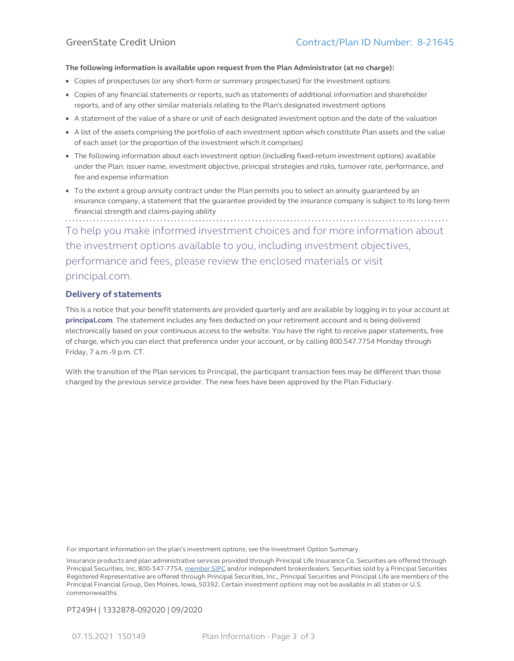#### **The following information is available upon request from the Plan Administrator (at no charge):**

- Copies of prospectuses (or any short-form or summary prospectuses) for the investment options
- Copies of any financial statements or reports, such as statements of additional information and shareholder reports, and of any other similar materials relating to the Plan's designated investment options
- A statement of the value of a share or unit of each designated investment option and the date of the valuation
- A list of the assets comprising the portfolio of each investment option which constitute Plan assets and the value of each asset (or the proportion of the investment which it comprises)
- The following information about each investment option (including fixed-return investment options) available under the Plan: issuer name, investment objective, principal strategies and risks, turnover rate, performance, and fee and expense information
- To the extent a group annuity contract under the Plan permits you to select an annuity guaranteed by an insurance company, a statement that the guarantee provided by the insurance company is subject to its long-term financial strength and claims-paying ability

To help you make informed investment choices and for more information about the investment options available to you, including investment objectives, performance and fees, please review the enclosed materials or visit [principal.com](https://www.principal.com).

# **Delivery of statements**

This is a notice that your benefit statements are provided quarterly and are available by logging in to your account at **[principal.com](https://www.principal.com/)**. The statement includes any fees deducted on your retirement account and is being delivered electronically based on your continuous access to the website. You have the right to receive paper statements, free of charge, which you can elect that preference under your account, or by calling 800.547.7754 Monday through Friday, 7 a.m.-9 p.m. CT.

With the transition of the Plan services to Principal, the participant transaction fees may be different than those charged by the previous service provider. The new fees have been approved by the Plan Fiduciary.

For important information on the plan's investment options, see the Investment Option Summary.

Insurance products and plan administrative services provided through Principal Life Insurance Co. Securities are offered through Principal Securities, Inc, 800-547-7754, member SIPC and/or independent brokerdealers. Securities sold by a Principal Securities Registered Representative are offered through Principal Securities, Inc., Principal Securities and Principal Life are members of the Principal Financial Group, Des Moines, Iowa, 50392. Certain investment options may not be available in all states or U.S. commonwealths.

### PT249H | 1332878-092020 | 09/2020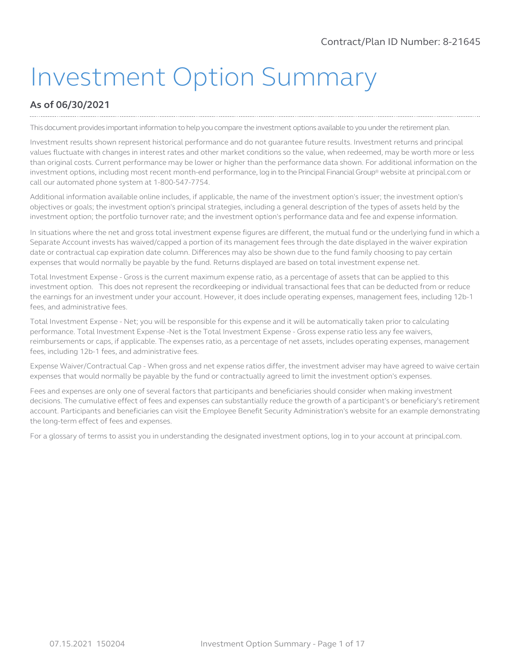# Investment Option Summary

# **As of 06/30/2021**

This document provides important information to help you compare the investment options available to you under the retirement plan.

Investment results shown represent historical performance and do not guarantee future results. Investment returns and principal values fluctuate with changes in interest rates and other market conditions so the value, when redeemed, may be worth more or less than original costs. Current performance may be lower or higher than the performance data shown. For additional information on the investment options, including most recent month-end performance, log in to the Principal FinancialGroup® website at principal.com or call our automated phone system at 1-800-547-7754.

Additional information available online includes, if applicable, the name of the investment option's issuer; the investment option's objectives or goals; the investment option's principal strategies, including a general description of the types of assets held by the investment option; the portfolio turnover rate; and the investment option's performance data and fee and expense information.

In situations where the net and gross total investment expense figures are different, the mutual fund or the underlying fund in which a Separate Account invests has waived/capped a portion of its management fees through the date displayed in the waiver expiration date or contractual cap expiration date column. Differences may also be shown due to the fund family choosing to pay certain expenses that would normally be payable by the fund. Returns displayed are based on total investment expense net.

Total Investment Expense - Gross is the current maximum expense ratio, as a percentage of assets that can be applied to this investment option. This does not represent the recordkeeping or individual transactional fees that can be deducted from or reduce the earnings for an investment under your account. However, it does include operating expenses, management fees, including 12b-1 fees, and administrative fees.

Total Investment Expense - Net; you will be responsible for this expense and it will be automatically taken prior to calculating performance. Total Investment Expense -Net is the Total Investment Expense - Gross expense ratio less any fee waivers, reimbursements or caps, if applicable. The expenses ratio, as a percentage of net assets, includes operating expenses, management fees, including 12b-1 fees, and administrative fees.

Expense Waiver/Contractual Cap - When gross and net expense ratios differ, the investment adviser may have agreed to waive certain expenses that would normally be payable by the fund or contractually agreed to limit the investment option's expenses.

Fees and expenses are only one of several factors that participants and beneficiaries should consider when making investment decisions. The cumulative effect of fees and expenses can substantially reduce the growth of a participant's or beneficiary's retirement account. Participants and beneficiaries can visit the Employee Benefit Security Administration's website for an example demonstrating the long-term effect of fees and expenses.

For a glossary of terms to assist you in understanding the designated investment options, log in to your account at principal.com.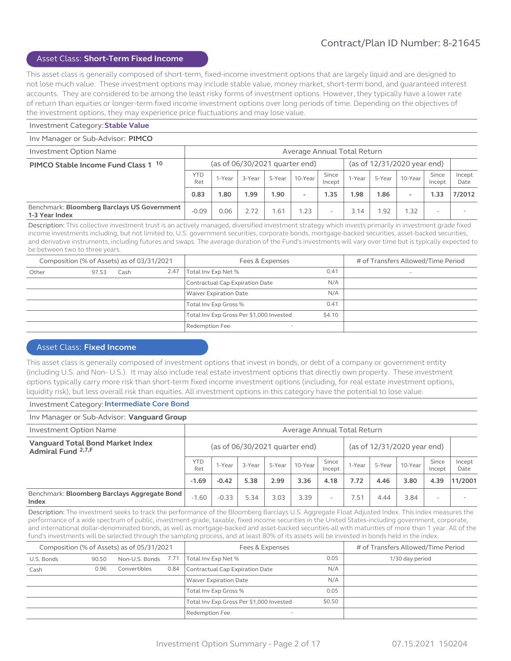#### Asset Class: **Short-Term Fixed Income**

This asset class is generally composed of short-term, fixed-income investment options that are largely liquid and are designed to not lose much value. These investment options may include stable value, money market, short-term bond, and guaranteed interest accounts. They are considered to be among the least risky forms of investment options. However, they typically have a lower rate of return than equities or longer-term fixed income investment options over long periods of time. Depending on the objectives of the investment options, they may experience price fluctuations and may lose value.

#### Investment Category: **Stable Value**

Inv Manager or Sub-Advisor: **PIMCO**

| <b>Investment Option Name</b>                                 | Average Annual Total Return |                                                                 |        |        |         |                 |        |        |         |                 |                |
|---------------------------------------------------------------|-----------------------------|-----------------------------------------------------------------|--------|--------|---------|-----------------|--------|--------|---------|-----------------|----------------|
| PIMCO Stable Income Fund Class 1 10                           |                             | (as of 12/31/2020 year end)<br>(as of $06/30/2021$ quarter end) |        |        |         |                 |        |        |         |                 |                |
|                                                               | <b>YTD</b><br>Ret           | 1-Year                                                          | 3-Year | 5-Year | 10-Year | Since<br>Incept | 1-Year | 5-Year | 10-Year | Since<br>Incept | Incept<br>Date |
|                                                               | 0.83                        | 1.80                                                            | 1.99   | 1.90   |         | 1.35            | 1.98   | 1.86   | $\,$    | 1.33            | 7/2012         |
| Benchmark: Bloomberg Barclays US Government<br>1-3 Year Index | $-0.09$                     | 0.06                                                            | 2.72   | .61    | .23     | ۰               | 3.14   | .92    | 1.32    |                 |                |

Description: This collective investment trust is an actively managed, diversified investment strategy which invests primarily in investment grade fixed income investments including, but not limited to, U.S. government securities, corporate bonds, mortgage-backed securities, asset-backed securities, and derivative instruments, including futures and swaps. The average duration of the Fund's investments will vary over time but is typically expected to be between two to three years.

|       | Composition (% of Assets) as of 03/31/2021 |      |      | Fees & Expenses                          |        | # of Transfers Allowed/Time Period |
|-------|--------------------------------------------|------|------|------------------------------------------|--------|------------------------------------|
| Other | 97.53                                      | Cash | 2.47 | Total Inv Exp Net %                      | 0.41   |                                    |
|       |                                            |      |      | Contractual Cap Expiration Date          | N/A    |                                    |
|       |                                            |      |      | Waiver Expiration Date                   | N/A    |                                    |
|       |                                            |      |      | Total Inv Exp Gross %                    | 0.41   |                                    |
|       |                                            |      |      | Total Inv Exp Gross Per \$1,000 Invested | \$4.10 |                                    |
|       |                                            |      |      | Redemption Fee                           |        |                                    |

#### Asset Class: **Fixed Income**

This asset class is generally composed of investment options that invest in bonds, or debt of a company or government entity (including U.S. and Non- U.S.). It may also include real estate investment options that directly own property. These investment options typically carry more risk than short-term fixed income investment options (including, for real estate investment options, liquidity risk), but less overall risk than equities. All investment options in this category have the potential to lose value.

#### Investment Category: **Intermediate Core Bond**

#### Inv Manager or Sub-Advisor: **Vanguard Group** Investment Option Name Average Annual Total Return **Vanguard Total Bond Market Index Admiral Fund <sup>2,7,F</sup>** (as of 06/30/2021 quarter end) (as of 12/31/2020 year end)  $YTD$  1-Year  $\begin{array}{|c|c|c|c|c|}\n\hline\n\text{Ret} & 1-\text{Year} & 3-\text{Year} & 5-\text{Year} & 10-\text{Year} & \text{Since} & \text{Incept} & \text{Incept}\n\hline\n\end{array}$  $\begin{array}{|c|c|c|c|c|}\n\hline\n\text{Since} & \text{1-Year} & \text{5-Year} & \text{10-Year} & \text{Since} & \text{Incept}\n\end{array}$ Incept Incept Date **-1.69 -0.42 5.38 2.99 3.36 4.18 7.72 4.46 3.80 4.39 11/2001** Benchmark: **Bloomberg Barclays Aggregate Bond Index** buoning barclays Aggregate bond -1.60 -0.33 5.34 3.03 3.39 - 7.51 4.44 3.84 - -

Description: The investment seeks to track the performance of the Bloomberg Barclays U.S. Aggregate Float Adjusted Index. This index measures the performance of a wide spectrum of public, investment-grade, taxable, fixed income securities in the United States-including government, corporate, and international dollar-denominated bonds, as well as mortgage-backed and asset-backed securities-all with maturities of more than 1 year. All of the fund's investments will be selected through the sampling process, and at least 80% of its assets will be invested in bonds held in the index.

|            |       | Composition (% of Assets) as of 05/31/2021 |      | Fees & Expenses                            |        | # of Transfers Allowed/Time Period |
|------------|-------|--------------------------------------------|------|--------------------------------------------|--------|------------------------------------|
| U.S. Bonds | 90.50 | Non-U.S. Bonds 7.71                        |      | Total Inv Exp Net %                        | 0.05   | 1/30 day period                    |
| Cash       | 0.96  | Convertibles                               | 0.84 | Contractual Cap Expiration Date            | N/A    |                                    |
|            |       |                                            |      | Waiver Expiration Date                     | N/A    |                                    |
|            |       |                                            |      | Total Inv Exp Gross %                      | 0.05   |                                    |
|            |       |                                            |      | Total Inv Exp Gross Per \$1,000 Invested   | \$0.50 |                                    |
|            |       |                                            |      | Redemption Fee<br>$\overline{\phantom{a}}$ |        |                                    |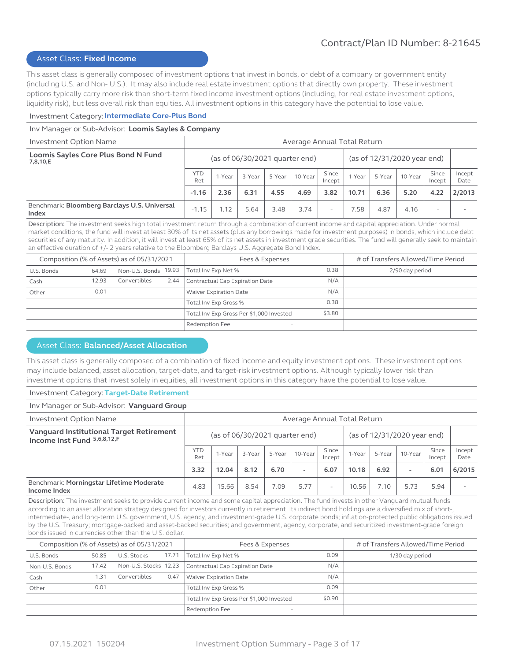#### Asset Class: **Fixed Income**

This asset class is generally composed of investment options that invest in bonds, or debt of a company or government entity (including U.S. and Non- U.S.). It may also include real estate investment options that directly own property. These investment options typically carry more risk than short-term fixed income investment options (including, for real estate investment options, liquidity risk), but less overall risk than equities. All investment options in this category have the potential to lose value.

#### Investment Category: **Intermediate Core-Plus Bond**

#### Inv Manager or Sub-Advisor: **Loomis Sayles & Company**

| <b>Investment Option Name</b>                         |                   | Average Annual Total Return |                                |        |         |                          |        |        |                             |                 |                |
|-------------------------------------------------------|-------------------|-----------------------------|--------------------------------|--------|---------|--------------------------|--------|--------|-----------------------------|-----------------|----------------|
| Loomis Sayles Core Plus Bond N Fund<br>7,8,10,E       |                   |                             | (as of 06/30/2021 quarter end) |        |         |                          |        |        | (as of 12/31/2020 year end) |                 |                |
|                                                       | <b>YTD</b><br>Ret | 1-Year                      | 3-Year                         | 5-Year | 10-Year | Since<br>Incept          | 1-Year | 5-Year | 10-Year                     | Since<br>Incept | Incept<br>Date |
|                                                       | $-1.16$           | 2.36                        | 6.31                           | 4.55   | 4.69    | 3.82                     | 10.71  | 6.36   | 5.20                        | 4.22            | 2/2013         |
| Benchmark: Bloomberg Barclays U.S. Universal<br>Index | $-1.15$           | 1.12                        | 5.64                           | 3.48   | 3.74    | $\overline{\phantom{a}}$ | 7.58   | 4.87   | 4.16                        |                 |                |

Description: The investment seeks high total investment return through a combination of current income and capital appreciation. Under normal market conditions, the fund will invest at least 80% of its net assets (plus any borrowings made for investment purposes) in bonds, which include debt securities of any maturity. In addition, it will invest at least 65% of its net assets in investment grade securities. The fund will generally seek to maintain an effective duration of +/- 2 years relative to the Bloomberg Barclays U.S. Aggregate Bond Index.

|            |       | Composition (% of Assets) as of 05/31/2021 |      | Fees & Expenses                          |        | # of Transfers Allowed/Time Period |
|------------|-------|--------------------------------------------|------|------------------------------------------|--------|------------------------------------|
| U.S. Bonds | 64.69 | Non-U.S. Bonds 19.93                       |      | Total Inv Exp Net %                      | 0.38   | 2/90 day period                    |
| Cash       | 12.93 | Convertibles                               | 2.44 | Contractual Cap Expiration Date          | N/A    |                                    |
| Other      | 0.01  |                                            |      | <b>Waiver Expiration Date</b>            | N/A    |                                    |
|            |       |                                            |      | Total Inv Exp Gross %                    | 0.38   |                                    |
|            |       |                                            |      | Total Inv Exp Gross Per \$1,000 Invested | \$3.80 |                                    |
|            |       |                                            |      | Redemption Fee                           |        |                                    |

## Asset Class: **Balanced/Asset Allocation**

This asset class is generally composed of a combination of fixed income and equity investment options. These investment options may include balanced, asset allocation, target-date, and target-risk investment options. Although typically lower risk than investment options that invest solely in equities, all investment options in this category have the potential to lose value.

#### Investment Category: **Target-Date Retirement**

#### Inv Manager or Sub-Advisor: **Vanguard Group** Investment Option Name Average Annual Total Return **Vanguard Institutional Target Retirement Income Institutional Target Retirement** (as of 06/30/2021 quarter end) (as of 12/31/2020 year end)  $\begin{array}{c|c}\n\text{YTD} & \text{1-Year} \\
\text{Ret}\n\end{array}$  $\begin{array}{|c|c|c|c|c|}\n\hline\n\text{Ret} & 1-\text{Year} & 3-\text{Year} & 5-\text{Year} & 10-\text{Year} & \text{Since} & \text{Incept} & \text{Incept}\n\hline\n\end{array}$  $\begin{array}{|c|c|c|c|c|}\n\hline\n\text{Incept} & \text{1-Year} & \text{5-Year} & \text{10-Year} & \text{Incept}\n\end{array}$ Incept Incept Date **3.32 12.04 8.12 6.70 - 6.07 10.18 6.92 - 6.01 6/2015** Benchmark: **Morningstar Lifetime Moderate Income Index Profilms Returne Proderate** 2.83 15.66 8.54 7.09 5.77 - 10.56 7.10 5.73 5.94 -

Description: The investment seeks to provide current income and some capital appreciation. The fund invests in other Vanguard mutual funds according to an asset allocation strategy designed for investors currently in retirement. Its indirect bond holdings are a diversified mix of short-, intermediate-, and long-term U.S. government, U.S. agency, and investment-grade U.S. corporate bonds; inflation-protected public obligations issued by the U.S. Treasury; mortgage-backed and asset-backed securities; and government, agency, corporate, and securitized investment-grade foreign bonds issued in currencies other than the U.S. dollar.

|                |       | Composition (% of Assets) as of 05/31/2021 |       | Fees & Expenses                                   |        | # of Transfers Allowed/Time Period |
|----------------|-------|--------------------------------------------|-------|---------------------------------------------------|--------|------------------------------------|
| U.S. Bonds     | 50.85 | U.S. Stocks                                | 17.71 | Total Inv Exp Net %                               | 0.09   | 1/30 day period                    |
| Non-U.S. Bonds | 17.42 | Non-U.S. Stocks 12.23                      |       | Contractual Cap Expiration Date                   | N/A    |                                    |
| Cash           | 1.31  | Convertibles                               | 0.47  | <b>Waiver Expiration Date</b>                     | N/A    |                                    |
| Other          | 0.01  |                                            |       | Total Inv Exp Gross %                             | 0.09   |                                    |
|                |       |                                            |       | Total Inv Exp Gross Per \$1,000 Invested          | \$0.90 |                                    |
|                |       |                                            |       | <b>Redemption Fee</b><br>$\overline{\phantom{a}}$ |        |                                    |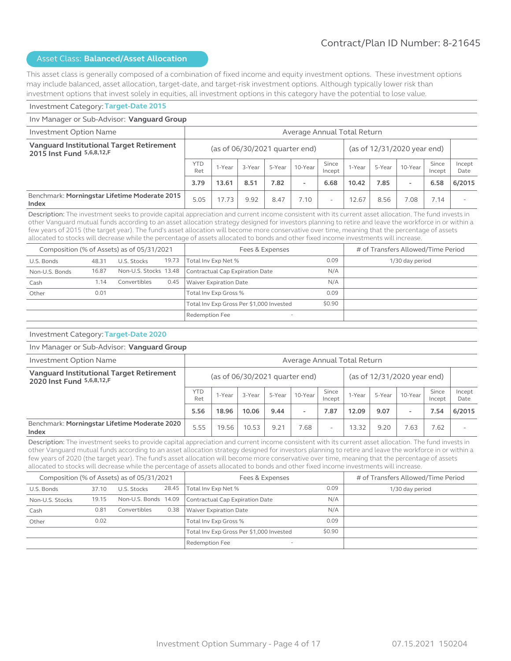This asset class is generally composed of a combination of fixed income and equity investment options. These investment options may include balanced, asset allocation, target-date, and target-risk investment options. Although typically lower risk than investment options that invest solely in equities, all investment options in this category have the potential to lose value.

#### Investment Category: **Target-Date 2015**

#### Inv Manager or Sub-Advisor: **Vanguard Group** Investment Option Name Average Annual Total Return **Vanguard Institutional Target Retirement 2015 Inst Fund <sup>5,6,8,12,F** (as of 06/30/2021 quarter end) (as of 12/31/2020 year end)</sup>  $YTD$  1-Year  $\begin{array}{|c|c|c|c|c|}\n\hline\n\text{Ret} & 1-\text{Year} & 3-\text{Year} & 5-\text{Year} & 10-\text{Year} & \text{Since} & \text{Incept} & \text{Incept}\n\hline\n\end{array}$  $\begin{array}{|c|c|c|c|c|}\n\hline\n\text{Incept} & \text{1-Year} & \text{5-Year} & \text{10-Year} & \text{Incept}\n\end{array}$ Incept Incept Date **3.79 13.61 8.51 7.82 - 6.68 10.42 7.85 - 6.58 6/2015** Benchmark: **Morningstar Lifetime Moderate 2015 Index Index Index Index Index Index Index Index Section Index Index Index Index Index Index Index Index Index Index Index Index Index Index Index Index Index Index Ind**

Description: The investment seeks to provide capital appreciation and current income consistent with its current asset allocation. The fund invests in other Vanguard mutual funds according to an asset allocation strategy designed for investors planning to retire and leave the workforce in or within a few years of 2015 (the target year). The fund's asset allocation will become more conservative over time, meaning that the percentage of assets allocated to stocks will decrease while the percentage of assets allocated to bonds and other fixed income investments will increase.

|                |       | Composition (% of Assets) as of 05/31/2021 |       | Fees & Expenses                            | # of Transfers Allowed/Time Period |                 |
|----------------|-------|--------------------------------------------|-------|--------------------------------------------|------------------------------------|-----------------|
| U.S. Bonds     | 48.31 | U.S. Stocks                                | 19.73 | Total Inv Exp Net %                        | 0.09                               | 1/30 day period |
| Non-U.S. Bonds | 16.87 | Non-U.S. Stocks 13.48                      |       | Contractual Cap Expiration Date            | N/A                                |                 |
| Cash           | 1.14  | Convertibles                               | 0.45  | <b>Waiver Expiration Date</b>              | N/A                                |                 |
| Other          | 0.01  |                                            |       | Total Inv Exp Gross %                      | 0.09                               |                 |
|                |       |                                            |       | Total Inv Exp Gross Per \$1,000 Invested   | \$0.90                             |                 |
|                |       |                                            |       | Redemption Fee<br>$\overline{\phantom{a}}$ |                                    |                 |

#### Investment Category: **Target-Date 2020**

#### Inv Manager or Sub-Advisor: **Vanguard Group**

| <b>Investment Option Name</b>                                         |                   | Average Annual Total Return |        |        |                                  |                 |        |        |                             |                 |                |
|-----------------------------------------------------------------------|-------------------|-----------------------------|--------|--------|----------------------------------|-----------------|--------|--------|-----------------------------|-----------------|----------------|
| Vanguard Institutional Target Retirement<br>2020 Inst Fund 5,6,8,12,F |                   |                             |        |        | (as of $06/30/2021$ quarter end) |                 |        |        | (as of 12/31/2020 year end) |                 |                |
|                                                                       | <b>YTD</b><br>Ret | 1-Year                      | 3-Year | 5-Year | 10-Year                          | Since<br>Incept | 1-Year | 5-Year | 10-Year                     | Since<br>Incept | Incept<br>Date |
|                                                                       | 5.56              | 18.96                       | 10.06  | 9.44   | $\overline{\phantom{a}}$         | 7.87            | 12.09  | 9.07   | $\overline{\phantom{a}}$    | 7.54            | 6/2015         |
| Benchmark: Morningstar Lifetime Moderate 2020<br>Index                | 5.55              | 19.56                       | 10.53  | 9.21   | .68                              | ۰               | 13.32  | 9.20   | 7.63                        | 7.62            |                |

Description: The investment seeks to provide capital appreciation and current income consistent with its current asset allocation. The fund invests in other Vanguard mutual funds according to an asset allocation strategy designed for investors planning to retire and leave the workforce in or within a few years of 2020 (the target year). The fund's asset allocation will become more conservative over time, meaning that the percentage of assets allocated to stocks will decrease while the percentage of assets allocated to bonds and other fixed income investments will increase.

|                 |       | Composition (% of Assets) as of 05/31/2021 |       | Fees & Expenses                            |        | # of Transfers Allowed/Time Period |
|-----------------|-------|--------------------------------------------|-------|--------------------------------------------|--------|------------------------------------|
| U.S. Bonds      | 37.10 | U.S. Stocks                                | 28.45 | Total Inv Exp Net %                        | 0.09   | 1/30 day period                    |
| Non-U.S. Stocks | 19.15 | Non-U.S. Bonds 14.09                       |       | Contractual Cap Expiration Date            | N/A    |                                    |
| Cash            | 0.81  | Convertibles                               | 0.38  | <b>Waiver Expiration Date</b>              | N/A    |                                    |
| Other           | 0.02  |                                            |       | Total Inv Exp Gross %                      | 0.09   |                                    |
|                 |       |                                            |       | Total Inv Exp Gross Per \$1,000 Invested   | \$0.90 |                                    |
|                 |       |                                            |       | Redemption Fee<br>$\overline{\phantom{a}}$ |        |                                    |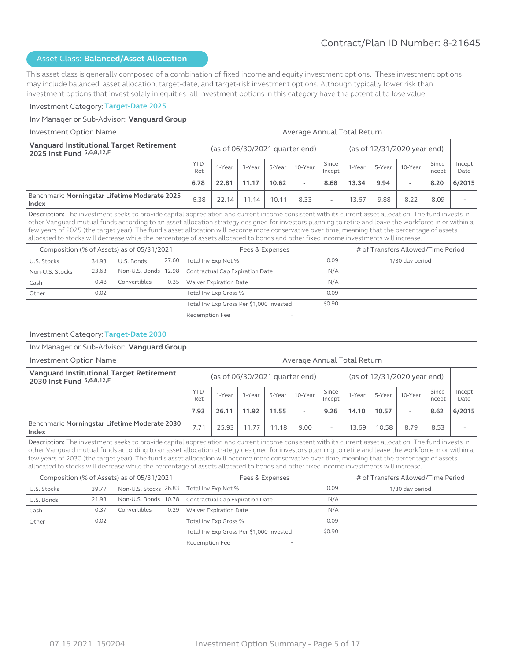This asset class is generally composed of a combination of fixed income and equity investment options. These investment options may include balanced, asset allocation, target-date, and target-risk investment options. Although typically lower risk than investment options that invest solely in equities, all investment options in this category have the potential to lose value.

#### Investment Category: **Target-Date 2025**

#### Inv Manager or Sub-Advisor: **Vanguard Group** Investment Option Name Average Annual Total Return **Vanguard Institutional Target Retirement 2025 Inst Fund <sup>5,6,8,12,F** (as of 06/30/2021 quarter end) (as of 12/31/2020 year end)</sup>  $YTD$  1-Year  $\begin{array}{|c|c|c|c|c|}\n\hline\n\text{Ret} & 1-\text{Year} & 3-\text{Year} & 5-\text{Year} & 10-\text{Year} & \text{Since} & \text{Incept} & \text{Incept}\n\hline\n\end{array}$  $\begin{array}{|c|c|c|c|c|}\n\hline\n\text{Incept} & \text{1-Year} & \text{5-Year} & \text{10-Year} & \text{Incept}\n\end{array}$ Incept Incept Date **6.78 22.81 11.17 10.62 - 8.68 13.34 9.94 - 8.20 6/2015** Benchmark: **Morningstar Lifetime Moderate 2025 Index Index Index Exercise 2023** 6.38 22.14 11.14 10.11 8.33 - 13.67 9.88 8.22 8.09

Description: The investment seeks to provide capital appreciation and current income consistent with its current asset allocation. The fund invests in other Vanguard mutual funds according to an asset allocation strategy designed for investors planning to retire and leave the workforce in or within a few years of 2025 (the target year). The fund's asset allocation will become more conservative over time, meaning that the percentage of assets allocated to stocks will decrease while the percentage of assets allocated to bonds and other fixed income investments will increase.

|                 |       | Composition (% of Assets) as of 05/31/2021 |       | Fees & Expenses                            | # of Transfers Allowed/Time Period |                 |
|-----------------|-------|--------------------------------------------|-------|--------------------------------------------|------------------------------------|-----------------|
| U.S. Stocks     | 34.93 | U.S. Bonds                                 | 27.60 | Total Inv Exp Net %                        | 0.09                               | 1/30 day period |
| Non-U.S. Stocks | 23.63 | Non-U.S. Bonds 12.98                       |       | Contractual Cap Expiration Date            | N/A                                |                 |
| Cash            | 0.48  | Convertibles                               | 0.35  | <b>Waiver Expiration Date</b>              | N/A                                |                 |
| Other           | 0.02  |                                            |       | Total Inv Exp Gross %                      | 0.09                               |                 |
|                 |       |                                            |       | Total Inv Exp Gross Per \$1,000 Invested   | \$0.90                             |                 |
|                 |       |                                            |       | Redemption Fee<br>$\overline{\phantom{a}}$ |                                    |                 |

#### Investment Category: **Target-Date 2030**

#### Inv Manager or Sub-Advisor: **Vanguard Group**

| Investment Option Name                                                |                   | Average Annual Total Return |                                  |        |                          |                 |        |        |                             |                 |                |
|-----------------------------------------------------------------------|-------------------|-----------------------------|----------------------------------|--------|--------------------------|-----------------|--------|--------|-----------------------------|-----------------|----------------|
| Vanguard Institutional Target Retirement<br>2030 Inst Fund 5,6,8,12,F |                   |                             | (as of $06/30/2021$ quarter end) |        |                          |                 |        |        | (as of 12/31/2020 year end) |                 |                |
|                                                                       | <b>YTD</b><br>Ret | 1-Year                      | 3-Year                           | 5-Year | 10-Year                  | Since<br>Incept | 1-Year | 5-Year | 10-Year                     | Since<br>Incept | Incept<br>Date |
|                                                                       | 7.93              | 26.11                       | 11.92                            | 11.55  | $\overline{\phantom{a}}$ | 9.26            | 14.10  | 10.57  | $\overline{\phantom{a}}$    | 8.62            | 6/2015         |
| Benchmark: Morningstar Lifetime Moderate 2030<br>Index                | 7.71              | 25.93                       | 1.77                             | 11.18  | 9.00                     | ۰               | 13.69  | 10.58  | 8.79                        | 8.53            |                |

Description: The investment seeks to provide capital appreciation and current income consistent with its current asset allocation. The fund invests in other Vanguard mutual funds according to an asset allocation strategy designed for investors planning to retire and leave the workforce in or within a few years of 2030 (the target year). The fund's asset allocation will become more conservative over time, meaning that the percentage of assets allocated to stocks will decrease while the percentage of assets allocated to bonds and other fixed income investments will increase.

|             |       | Composition (% of Assets) as of 05/31/2021 |      | Fees & Expenses                            |        | # of Transfers Allowed/Time Period |
|-------------|-------|--------------------------------------------|------|--------------------------------------------|--------|------------------------------------|
| U.S. Stocks | 39.77 | Non-U.S. Stocks 26.83                      |      | Total Inv Exp Net %                        | 0.09   | 1/30 day period                    |
| U.S. Bonds  | 21.93 | Non-U.S. Bonds 10.78                       |      | Contractual Cap Expiration Date            | N/A    |                                    |
| Cash        | 0.37  | Convertibles                               | 0.29 | <b>Waiver Expiration Date</b>              | N/A    |                                    |
| Other       | 0.02  |                                            |      | Total Inv Exp Gross %                      | 0.09   |                                    |
|             |       |                                            |      | Total Inv Exp Gross Per \$1,000 Invested   | \$0.90 |                                    |
|             |       |                                            |      | Redemption Fee<br>$\overline{\phantom{a}}$ |        |                                    |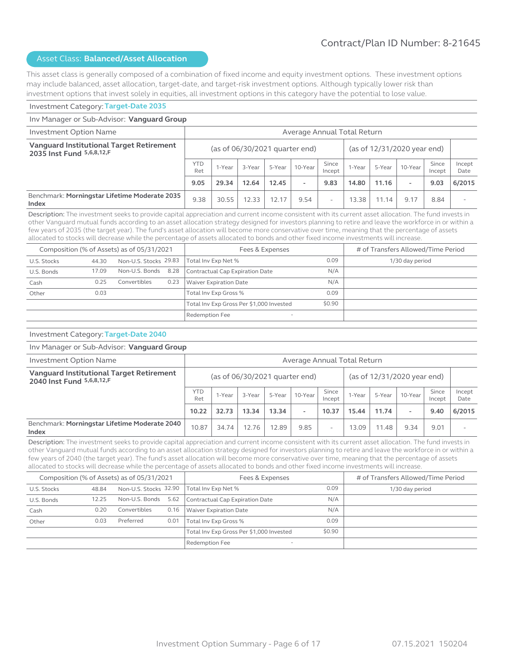This asset class is generally composed of a combination of fixed income and equity investment options. These investment options may include balanced, asset allocation, target-date, and target-risk investment options. Although typically lower risk than investment options that invest solely in equities, all investment options in this category have the potential to lose value.

#### Investment Category: **Target-Date 2035**

#### Inv Manager or Sub-Advisor: **Vanguard Group** Investment Option Name Average Annual Total Return **Vanguard Institutional Target Retirement 2035 Inst Fund <sup>5,6,8,12,F** (as of 06/30/2021 quarter end) (as of 12/31/2020 year end)</sup>  $YTD$  1-Year  $\begin{array}{|c|c|c|c|c|}\n\hline\n\text{Ret} & 1-\text{Year} & 3-\text{Year} & 5-\text{Year} & 10-\text{Year} & \text{Since} & \text{Incept} & \text{Incept}\n\hline\n\end{array}$  $\begin{array}{|c|c|c|c|c|}\n\hline\n\text{Incept} & \text{1-Year} & \text{5-Year} & \text{10-Year} & \text{Incept}\n\end{array}$ Incept Incept Date **9.05 29.34 12.64 12.45 - 9.83 14.80 11.16 - 9.03 6/2015** Benchmark: **Morningstar Lifetime Moderate 2035 Index Index Index Index Index Index Index Index Index Index Index Index Index Index Index Index Index Index Index Index Index Index Index Index Index Index Index Index**

Description: The investment seeks to provide capital appreciation and current income consistent with its current asset allocation. The fund invests in other Vanguard mutual funds according to an asset allocation strategy designed for investors planning to retire and leave the workforce in or within a few years of 2035 (the target year). The fund's asset allocation will become more conservative over time, meaning that the percentage of assets allocated to stocks will decrease while the percentage of assets allocated to bonds and other fixed income investments will increase.

|             |       | Composition (% of Assets) as of 05/31/2021 |      | Fees & Expenses                          |        | # of Transfers Allowed/Time Period |
|-------------|-------|--------------------------------------------|------|------------------------------------------|--------|------------------------------------|
| U.S. Stocks | 44.30 | Non-U.S. Stocks 29.83                      |      | Total Inv Exp Net %                      | 0.09   | 1/30 day period                    |
| U.S. Bonds  | 17.09 | Non-U.S. Bonds 8.28                        |      | Contractual Cap Expiration Date          | N/A    |                                    |
| Cash        | 0.25  | Convertibles                               | 0.23 | Waiver Expiration Date                   | N/A    |                                    |
| Other       | 0.03  |                                            |      | Total Inv Exp Gross %                    | 0.09   |                                    |
|             |       |                                            |      | Total Inv Exp Gross Per \$1,000 Invested | \$0.90 |                                    |
|             |       | Redemption Fee                             |      |                                          |        |                                    |

#### Investment Category: **Target-Date 2040**

#### Inv Manager or Sub-Advisor: **Vanguard Group**

| <b>Investment Option Name</b>                                         |            | Average Annual Total Return                                     |        |        |                          |                 |        |        |                          |                 |                |
|-----------------------------------------------------------------------|------------|-----------------------------------------------------------------|--------|--------|--------------------------|-----------------|--------|--------|--------------------------|-----------------|----------------|
| Vanguard Institutional Target Retirement<br>2040 Inst Fund 5,6,8,12,F |            | (as of 12/31/2020 year end)<br>(as of $06/30/2021$ quarter end) |        |        |                          |                 |        |        |                          |                 |                |
|                                                                       | YTD<br>Ret | 1-Year                                                          | 3-Year | 5-Year | 10-Year                  | Since<br>Incept | 1-Year | 5-Year | 10-Year                  | Since<br>Incept | Incept<br>Date |
|                                                                       | 10.22      | 32.73                                                           | 13.34  | 13.34  | $\overline{\phantom{a}}$ | 10.37           | 15.44  | 11.74  | $\overline{\phantom{a}}$ | 9.40            | 6/2015         |
| Benchmark: Morningstar Lifetime Moderate 2040<br>Index                | 10.87      | 34.74                                                           | 12.76  | 12.89  | 9.85                     | ۰               | 13.09  | 11.48  | 9.34                     | 9.01            |                |

Description: The investment seeks to provide capital appreciation and current income consistent with its current asset allocation. The fund invests in other Vanguard mutual funds according to an asset allocation strategy designed for investors planning to retire and leave the workforce in or within a few years of 2040 (the target year). The fund's asset allocation will become more conservative over time, meaning that the percentage of assets allocated to stocks will decrease while the percentage of assets allocated to bonds and other fixed income investments will increase.

|             |       | Composition (% of Assets) as of 05/31/2021 |                                            | Fees & Expenses                          |        | # of Transfers Allowed/Time Period |
|-------------|-------|--------------------------------------------|--------------------------------------------|------------------------------------------|--------|------------------------------------|
| U.S. Stocks | 48.84 | Non-U.S. Stocks 32.90                      |                                            | Total Inv Exp Net %                      | 0.09   | 1/30 day period                    |
| U.S. Bonds  | 12.25 | Non-U.S. Bonds 5.62                        |                                            | Contractual Cap Expiration Date          | N/A    |                                    |
| Cash        | 0.20  | Convertibles                               | 0.16                                       | <b>Waiver Expiration Date</b>            | N/A    |                                    |
| Other       | 0.03  | Preferred                                  | 0.01                                       | Total Inv Exp Gross %                    | 0.09   |                                    |
|             |       |                                            |                                            | Total Inv Exp Gross Per \$1,000 Invested | \$0.90 |                                    |
|             |       |                                            | Redemption Fee<br>$\overline{\phantom{a}}$ |                                          |        |                                    |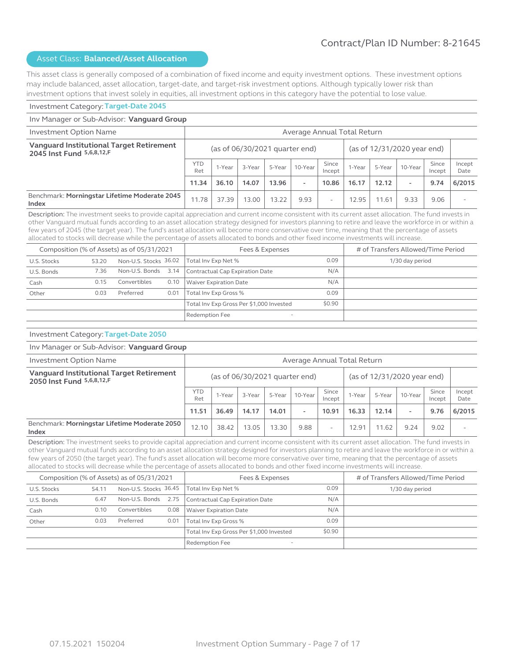This asset class is generally composed of a combination of fixed income and equity investment options. These investment options may include balanced, asset allocation, target-date, and target-risk investment options. Although typically lower risk than investment options that invest solely in equities, all investment options in this category have the potential to lose value.

#### Investment Category: **Target-Date 2045**

#### Inv Manager or Sub-Advisor: **Vanguard Group** Investment Option Name Average Annual Total Return **Vanguard Institutional Target Retirement 2045 Inst Fund <sup>5,6,8,12,F** (as of 06/30/2021 quarter end) (as of 12/31/2020 year end)</sup>  $YTD$  1-Year  $\begin{array}{|c|c|c|c|c|}\n\hline\n\text{Ret} & 1-\text{Year} & 3-\text{Year} & 5-\text{Year} & 10-\text{Year} & \text{Since} & \text{Incept} & \text{Incept}\n\hline\n\end{array}$  $\begin{array}{|c|c|c|c|c|}\n\hline\n\text{Incept} & \text{1-Year} & \text{5-Year} & \text{10-Year} & \text{Incept}\n\end{array}$ Incept Incept Date **11.34 36.10 14.07 13.96 - 10.86 16.17 12.12 - 9.74 6/2015** Benchmark: **Morningstar Lifetime Moderate 2045 Index Index Index Index Index Index Index Index Index Index Index Index Index Index Index Index Index Index Index Index Index Index Index Index Index Index Index Index**

Description: The investment seeks to provide capital appreciation and current income consistent with its current asset allocation. The fund invests in other Vanguard mutual funds according to an asset allocation strategy designed for investors planning to retire and leave the workforce in or within a few years of 2045 (the target year). The fund's asset allocation will become more conservative over time, meaning that the percentage of assets allocated to stocks will decrease while the percentage of assets allocated to bonds and other fixed income investments will increase.

|             |       | Composition (% of Assets) as of 05/31/2021 |      | Fees & Expenses                          |        | # of Transfers Allowed/Time Period |
|-------------|-------|--------------------------------------------|------|------------------------------------------|--------|------------------------------------|
| U.S. Stocks | 53.20 | Non-U.S. Stocks 36.02                      |      | Total Inv Exp Net %                      | 0.09   | 1/30 day period                    |
| U.S. Bonds  | 7.36  | Non-U.S. Bonds 3.14                        |      | Contractual Cap Expiration Date          | N/A    |                                    |
| Cash        | 0.15  | Convertibles                               | 0.10 | Waiver Expiration Date                   | N/A    |                                    |
| Other       | 0.03  | Preferred                                  | 0.01 | Total Inv Exp Gross %                    | 0.09   |                                    |
|             |       |                                            |      | Total Inv Exp Gross Per \$1,000 Invested | \$0.90 |                                    |
|             |       |                                            |      | Redemption Fee                           |        |                                    |

#### Investment Category: **Target-Date 2050**

#### Inv Manager or Sub-Advisor: **Vanguard Group**

| Investment Option Name                                                |                   | Average Annual Total Return                                     |        |        |                          |                 |        |        |                          |                 |                |
|-----------------------------------------------------------------------|-------------------|-----------------------------------------------------------------|--------|--------|--------------------------|-----------------|--------|--------|--------------------------|-----------------|----------------|
| Vanguard Institutional Target Retirement<br>2050 Inst Fund 5,6,8,12,F |                   | (as of 12/31/2020 year end)<br>(as of $06/30/2021$ quarter end) |        |        |                          |                 |        |        |                          |                 |                |
|                                                                       | <b>YTD</b><br>Ret | 1-Year                                                          | 3-Year | 5-Year | 10-Year                  | Since<br>Incept | 1-Year | 5-Year | 10-Year                  | Since<br>Incept | Incept<br>Date |
|                                                                       | 11.51             | 36.49                                                           | 14.17  | 14.01  | $\overline{\phantom{a}}$ | 10.91           | 16.33  | 12.14  | $\overline{\phantom{a}}$ | 9.76            | 6/2015         |
| Benchmark: Morningstar Lifetime Moderate 2050<br>Index                | 12.10             | 38.42                                                           | 13.05  | 13.30  | 9.88                     | ۰               | 12.91  | 11.62  | 9.24                     | 9.02            |                |

Description: The investment seeks to provide capital appreciation and current income consistent with its current asset allocation. The fund invests in other Vanguard mutual funds according to an asset allocation strategy designed for investors planning to retire and leave the workforce in or within a few years of 2050 (the target year). The fund's asset allocation will become more conservative over time, meaning that the percentage of assets allocated to stocks will decrease while the percentage of assets allocated to bonds and other fixed income investments will increase.

|             |       | Composition (% of Assets) as of 05/31/2021 |                                            | Fees & Expenses                          |        | # of Transfers Allowed/Time Period |
|-------------|-------|--------------------------------------------|--------------------------------------------|------------------------------------------|--------|------------------------------------|
| U.S. Stocks | 54.11 | Non-U.S. Stocks 36.45                      |                                            | Total Inv Exp Net %                      | 0.09   | 1/30 day period                    |
| U.S. Bonds  | 6.47  | Non-U.S. Bonds 2.75                        |                                            | Contractual Cap Expiration Date          | N/A    |                                    |
| Cash        | 0.10  | Convertibles                               | 0.08                                       | <b>Waiver Expiration Date</b>            | N/A    |                                    |
| Other       | 0.03  | Preferred                                  | 0.01                                       | Total Inv Exp Gross %                    | 0.09   |                                    |
|             |       |                                            |                                            | Total Inv Exp Gross Per \$1,000 Invested | \$0.90 |                                    |
|             |       |                                            | Redemption Fee<br>$\overline{\phantom{0}}$ |                                          |        |                                    |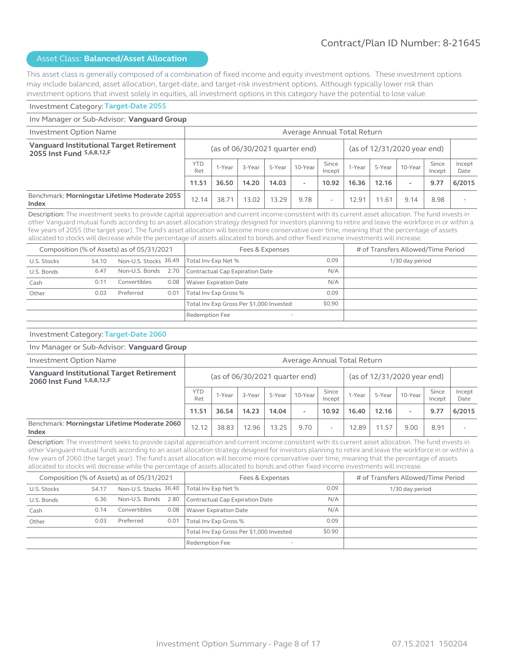This asset class is generally composed of a combination of fixed income and equity investment options. These investment options may include balanced, asset allocation, target-date, and target-risk investment options. Although typically lower risk than investment options that invest solely in equities, all investment options in this category have the potential to lose value.

#### Investment Category: **Target-Date 2055**

#### Inv Manager or Sub-Advisor: **Vanguard Group** Investment Option Name Average Annual Total Return **Vanguard Institutional Target Retirement 2055 Inst Fund <sup>5,6,8,12,F** (as of 06/30/2021 quarter end) (as of 12/31/2020 year end)</sup>  $YTD$  1-Year  $\begin{array}{|c|c|c|c|c|}\n\hline\n\text{Ret} & 1-\text{Year} & 3-\text{Year} & 5-\text{Year} & 10-\text{Year} & \text{Since} & \text{Incept} & \text{Incept}\n\hline\n\end{array}$  $\begin{array}{|c|c|c|c|c|}\n\hline\n\text{Incept} & \text{1-Year} & \text{5-Year} & \text{10-Year} & \text{Incept}\n\end{array}$ Incept Incept Date **11.51 36.50 14.20 14.03 - 10.92 16.36 12.16 - 9.77 6/2015** Benchmark: **Morningstar Lifetime Moderate 2055 Index Index Index Index Index Index Index Index Index Index Index Index Index Index Index Index Index Index Index Index Index Index Index Index Index Index Index Index**

Description: The investment seeks to provide capital appreciation and current income consistent with its current asset allocation. The fund invests in other Vanguard mutual funds according to an asset allocation strategy designed for investors planning to retire and leave the workforce in or within a few years of 2055 (the target year). The fund's asset allocation will become more conservative over time, meaning that the percentage of assets allocated to stocks will decrease while the percentage of assets allocated to bonds and other fixed income investments will increase.

|             |       | Composition (% of Assets) as of 05/31/2021 |      | Fees & Expenses                          | # of Transfers Allowed/Time Period |                 |
|-------------|-------|--------------------------------------------|------|------------------------------------------|------------------------------------|-----------------|
| U.S. Stocks | 54.10 | Non-U.S. Stocks 36.49                      |      | Total Inv Exp Net %                      | 0.09                               | 1/30 day period |
| U.S. Bonds  | 6.47  | Non-U.S. Bonds 2.70                        |      | Contractual Cap Expiration Date          | N/A                                |                 |
| Cash        | 0.11  | Convertibles                               | 0.08 | <b>Waiver Expiration Date</b>            | N/A                                |                 |
| Other       | 0.03  | Preferred                                  | 0.01 | Total Inv Exp Gross %                    | 0.09                               |                 |
|             |       |                                            |      | Total Inv Exp Gross Per \$1,000 Invested | \$0.90                             |                 |
|             |       | Redemption Fee<br>$\overline{\phantom{a}}$ |      |                                          |                                    |                 |

#### Investment Category: **Target-Date 2060**

#### Inv Manager or Sub-Advisor: **Vanguard Group**

| Investment Option Name                                                |                   | Average Annual Total Return |                                  |        |                          |                             |        |        |                          |                 |                |
|-----------------------------------------------------------------------|-------------------|-----------------------------|----------------------------------|--------|--------------------------|-----------------------------|--------|--------|--------------------------|-----------------|----------------|
| Vanguard Institutional Target Retirement<br>2060 Inst Fund 5,6,8,12,F |                   |                             | (as of $06/30/2021$ quarter end) |        |                          | (as of 12/31/2020 year end) |        |        |                          |                 |                |
|                                                                       | <b>YTD</b><br>Ret | 1-Year                      | 3-Year                           | 5-Year | 10-Year                  | Since<br>Incept             | 1-Year | 5-Year | 10-Year                  | Since<br>Incept | Incept<br>Date |
|                                                                       | 11.51             | 36.54                       | 14.23                            | 14.04  | $\overline{\phantom{a}}$ | 10.92                       | 16.40  | 12.16  | $\overline{\phantom{a}}$ | 9.77            | 6/2015         |
| Benchmark: Morningstar Lifetime Moderate 2060<br>Index                | 12.12             | 38.83                       | 12.96                            | 13.25  | 9.70                     | ۰                           | 12.89  | 11.57  | 9.00                     | 8.91            |                |

Description: The investment seeks to provide capital appreciation and current income consistent with its current asset allocation. The fund invests in other Vanguard mutual funds according to an asset allocation strategy designed for investors planning to retire and leave the workforce in or within a few years of 2060 (the target year). The fund's asset allocation will become more conservative over time, meaning that the percentage of assets allocated to stocks will decrease while the percentage of assets allocated to bonds and other fixed income investments will increase.

|             |       | Composition (% of Assets) as of 05/31/2021 |                                            | Fees & Expenses                          |        | # of Transfers Allowed/Time Period |
|-------------|-------|--------------------------------------------|--------------------------------------------|------------------------------------------|--------|------------------------------------|
| U.S. Stocks | 54.17 | Non-U.S. Stocks 36.40                      |                                            | Total Inv Exp Net %                      | 0.09   | 1/30 day period                    |
| U.S. Bonds  | 6.36  | Non-U.S. Bonds 2.80                        |                                            | Contractual Cap Expiration Date          | N/A    |                                    |
| Cash        | 0.14  | Convertibles                               | 0.08                                       | <b>Waiver Expiration Date</b>            | N/A    |                                    |
| Other       | 0.03  | Preferred                                  | 0.01                                       | Total Inv Exp Gross %                    | 0.09   |                                    |
|             |       |                                            |                                            | Total Inv Exp Gross Per \$1,000 Invested | \$0.90 |                                    |
|             |       |                                            | Redemption Fee<br>$\overline{\phantom{a}}$ |                                          |        |                                    |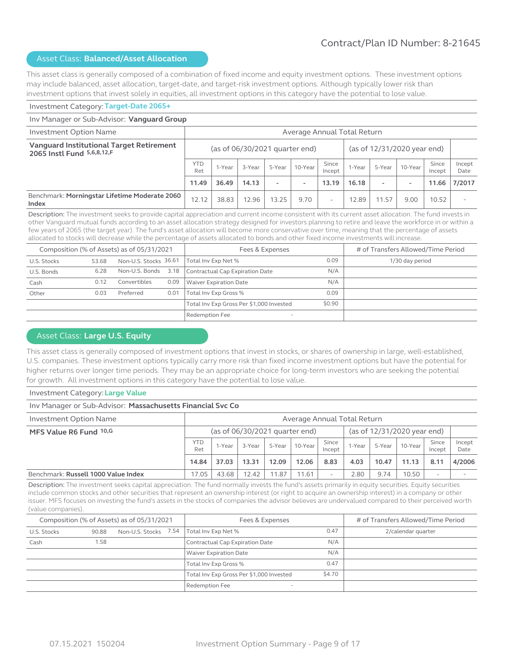This asset class is generally composed of a combination of fixed income and equity investment options. These investment options may include balanced, asset allocation, target-date, and target-risk investment options. Although typically lower risk than investment options that invest solely in equities, all investment options in this category have the potential to lose value.

#### Investment Category: **Target-Date 2065+**

#### Inv Manager or Sub-Advisor: **Vanguard Group** Investment Option Name Average Annual Total Return **Vanguard Institutional Target Retirement 2065 Instl Fund** 5,6,8,12,F<br>**2065 Instl Fund** 5,6,8,12,F  $\begin{array}{c|c}\n\text{YTD} & \text{1-Year} \\
\text{Ret}\n\end{array}$  $\begin{array}{|c|c|c|c|c|}\n\hline\n\text{Ret} & 1-\text{Year} & 3-\text{Year} & 5-\text{Year} & 10-\text{Year} & \text{Since} & \text{Incept} & \text{Incept}\n\hline\n\end{array}$  $\begin{array}{|c|c|c|c|c|}\n\hline\n\text{Incept} & \text{1-Year} & \text{5-Year} & \text{10-Year} & \text{Incept}\n\end{array}$ Incept Incept Date **11.49 36.49 14.13 - - 13.19 16.18 - - 11.66 7/2017** Benchmark: **Morningstar Lifetime Moderate 2060 Index Index Index Index Index Index Index Index Index Index Index Index Index Index Index Index Index Index Index Index Index Index Index Index Index Index Index Index**

Description: The investment seeks to provide capital appreciation and current income consistent with its current asset allocation. The fund invests in other Vanguard mutual funds according to an asset allocation strategy designed for investors planning to retire and leave the workforce in or within a few years of 2065 (the target year). The fund's asset allocation will become more conservative over time, meaning that the percentage of assets allocated to stocks will decrease while the percentage of assets allocated to bonds and other fixed income investments will increase.

|             |       | Composition (% of Assets) as of 05/31/2021 |                                            | Fees & Expenses                          | # of Transfers Allowed/Time Period |                 |
|-------------|-------|--------------------------------------------|--------------------------------------------|------------------------------------------|------------------------------------|-----------------|
| U.S. Stocks | 53.68 | Non-U.S. Stocks 36.61                      |                                            | Total Inv Exp Net %                      | 0.09                               | 1/30 day period |
| U.S. Bonds  | 6.28  | Non-U.S. Bonds 3.18                        |                                            | Contractual Cap Expiration Date          | N/A                                |                 |
| Cash        | 0.12  | Convertibles                               | 0.09                                       | <b>Waiver Expiration Date</b>            | N/A                                |                 |
| Other       | 0.03  | Preferred                                  | 0.01                                       | Total Inv Exp Gross %                    | 0.09                               |                 |
|             |       |                                            |                                            | Total Inv Exp Gross Per \$1,000 Invested | \$0.90                             |                 |
|             |       |                                            | Redemption Fee<br>$\overline{\phantom{a}}$ |                                          |                                    |                 |

#### Asset Class: **Large U.S. Equity**

This asset class is generally composed of investment options that invest in stocks, or shares of ownership in large, well-established, U.S. companies. These investment options typically carry more risk than fixed income investment options but have the potential for higher returns over longer time periods. They may be an appropriate choice for long-term investors who are seeking the potential for growth. All investment options in this category have the potential to lose value.

#### Investment Category: **Large Value**

# Inv Manager or Sub-Advisor: **Massachusetts Financial Svc Co**

| Investment Option Name              | Average Annual Total Return |        |        |        |                                  |                 |        |        |                             |                 |                |
|-------------------------------------|-----------------------------|--------|--------|--------|----------------------------------|-----------------|--------|--------|-----------------------------|-----------------|----------------|
| MFS Value R6 Fund 10,G              |                             |        |        |        | (as of $06/30/2021$ quarter end) |                 |        |        | (as of 12/31/2020 year end) |                 |                |
|                                     | <b>YTD</b><br>Ret           | 1-Year | 3-Year | 5-Year | 10-Year                          | Since<br>Incept | 1-Year | 5-Year | 10-Year                     | Since<br>Incept | Incept<br>Date |
|                                     | 14.84                       | 37.03  | 13.31  | 12.09  | 12.06                            | 8.83            | 4.03   | 10.47  | 11.13                       | 8.11            | 4/2006         |
| Benchmark: Russell 1000 Value Index | 17.05                       | 43.68  | 2.42   | 11.87  | 1.61                             | ۰               | 2.80   | 9.74   | 10.50                       |                 |                |

Description: The investment seeks capital appreciation. The fund normally invests the fund's assets primarily in equity securities. Equity securities include common stocks and other securities that represent an ownership interest (or right to acquire an ownership interest) in a company or other issuer. MFS focuses on investing the fund's assets in the stocks of companies the advisor believes are undervalued compared to their perceived worth (value companies).

|             |       | Composition (% of Assets) as of 05/31/2021 | Fees & Expenses                          |        |                    |  |
|-------------|-------|--------------------------------------------|------------------------------------------|--------|--------------------|--|
| U.S. Stocks | 90.88 | Non-U.S. Stocks 7.54                       | Total Inv Exp Net %                      | 0.47   | 2/calendar quarter |  |
| Cash        | 1.58  |                                            | Contractual Cap Expiration Date          | N/A    |                    |  |
|             |       |                                            | <b>Waiver Expiration Date</b>            | N/A    |                    |  |
|             |       |                                            | Total Inv Exp Gross %                    | 0.47   |                    |  |
|             |       |                                            | Total Inv Exp Gross Per \$1,000 Invested | \$4.70 |                    |  |
|             |       |                                            | Redemption Fee                           |        |                    |  |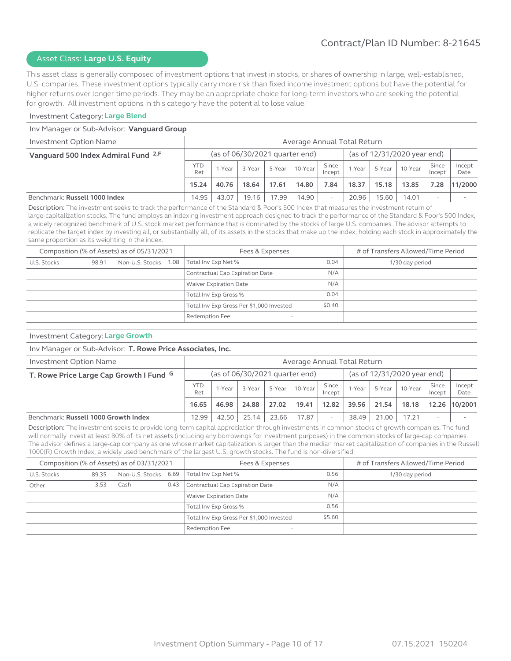#### Asset Class: **Large U.S. Equity**

This asset class is generally composed of investment options that invest in stocks, or shares of ownership in large, well-established, U.S. companies. These investment options typically carry more risk than fixed income investment options but have the potential for higher returns over longer time periods. They may be an appropriate choice for long-term investors who are seeking the potential for growth. All investment options in this category have the potential to lose value.

#### Investment Category: **Large Blend**

#### Inv Manager or Sub-Advisor: **Vanguard Group**

| Investment Option Name                         | Average Annual Total Return |                                                               |        |        |         |                 |        |        |         |                 |                |
|------------------------------------------------|-----------------------------|---------------------------------------------------------------|--------|--------|---------|-----------------|--------|--------|---------|-----------------|----------------|
| Vanguard 500 Index Admiral Fund <sup>2,F</sup> |                             | (as of 12/31/2020 year end)<br>(as of 06/30/2021 quarter end) |        |        |         |                 |        |        |         |                 |                |
|                                                | <b>YTD</b><br>Ret           | 1-Year                                                        | 3-Year | 5-Year | 10-Year | Since<br>Incept | l-Year | 5-Year | 10-Year | Since<br>Incept | Incept<br>Date |
|                                                | 15.24                       | 40.76                                                         | 18.64  | 17.61  | 14.80   | 7.84            | 18.37  | 15.18  | 13.85   | 7.28            | 11/2000        |
| Benchmark: Russell 1000 Index                  | 14.95                       | 43.07                                                         | 19.16  | 17.99  | 14.90   |                 | 20.96  | 15.60  | 14.01   | ۰               |                |

Description: The investment seeks to track the performance of the Standard & Poor's 500 Index that measures the investment return of large-capitalization stocks. The fund employs an indexing investment approach designed to track the performance of the Standard & Poor's 500 Index, a widely recognized benchmark of U.S. stock market performance that is dominated by the stocks of large U.S. companies. The advisor attempts to replicate the target index by investing all, or substantially all, of its assets in the stocks that make up the index, holding each stock in approximately the same proportion as its weighting in the index.

|             |       | Composition (% of Assets) as of 05/31/2021 | Fees & Expenses                          |        |                 |  |  |
|-------------|-------|--------------------------------------------|------------------------------------------|--------|-----------------|--|--|
| U.S. Stocks | 98.91 | Non-U.S. Stocks 1.08                       | 0.04<br>Total Inv Exp Net %              |        | 1/30 day period |  |  |
|             |       |                                            | Contractual Cap Expiration Date          | N/A    |                 |  |  |
|             |       |                                            | <b>Waiver Expiration Date</b>            | N/A    |                 |  |  |
|             |       |                                            | Total Inv Exp Gross %                    | 0.04   |                 |  |  |
|             |       |                                            | Total Inv Exp Gross Per \$1,000 Invested | \$0.40 |                 |  |  |
|             |       |                                            | Redemption Fee                           |        |                 |  |  |

#### Investment Category: **Large Growth**

#### Inv Manager or Sub-Advisor: **T. Rowe Price Associates, Inc.**

| Investment Option Name                  | Average Annual Total Return    |        |        |        |         |                             |        |        |         |                          |                |
|-----------------------------------------|--------------------------------|--------|--------|--------|---------|-----------------------------|--------|--------|---------|--------------------------|----------------|
| T. Rowe Price Large Cap Growth I Fund G | (as of 06/30/2021 quarter end) |        |        |        |         | (as of 12/31/2020 year end) |        |        |         |                          |                |
|                                         | <b>YTD</b><br>Ret              | 1-Year | 3-Year | 5-Year | 10-Year | Since<br>Incept             | 1-Year | 5-Year | 10-Year | Since<br>Incept          | Incept<br>Date |
|                                         | 16.65                          | 46.98  | 24.88  | 27.02  | 19.41   | 12.82                       | 39.56  | 21.54  | 18.18   | 12.26                    | 10/2001        |
| Benchmark: Russell 1000 Growth Index    | 12.99                          | 42.50  | 25.14  | 23.66  | 17.87   |                             | 38.49  | 21.00  | 17.21   | $\overline{\phantom{a}}$ |                |

Description: The investment seeks to provide long-term capital appreciation through investments in common stocks of growth companies. The fund will normally invest at least 80% of its net assets (including any borrowings for investment purposes) in the common stocks of large-cap companies. The advisor defines a large-cap company as one whose market capitalization is larger than the median market capitalization of companies in the Russell 1000(R) Growth Index, a widely used benchmark of the largest U.S. growth stocks. The fund is non-diversified.

|             |       | Composition (% of Assets) as of 03/31/2021 |      | Fees & Expenses                            |        |                 |  |  |
|-------------|-------|--------------------------------------------|------|--------------------------------------------|--------|-----------------|--|--|
| U.S. Stocks | 89.35 | Non-U.S. Stocks 6.69                       |      | Total Inv Exp Net %                        | 0.56   | 1/30 day period |  |  |
| Other       | 3.53  | Cash                                       | 0.43 | Contractual Cap Expiration Date            | N/A    |                 |  |  |
|             |       |                                            |      | <b>Waiver Expiration Date</b>              | N/A    |                 |  |  |
|             |       |                                            |      | Total Inv Exp Gross %                      | 0.56   |                 |  |  |
|             |       |                                            |      | Total Inv Exp Gross Per \$1,000 Invested   | \$5.60 |                 |  |  |
|             |       |                                            |      | Redemption Fee<br>$\overline{\phantom{a}}$ |        |                 |  |  |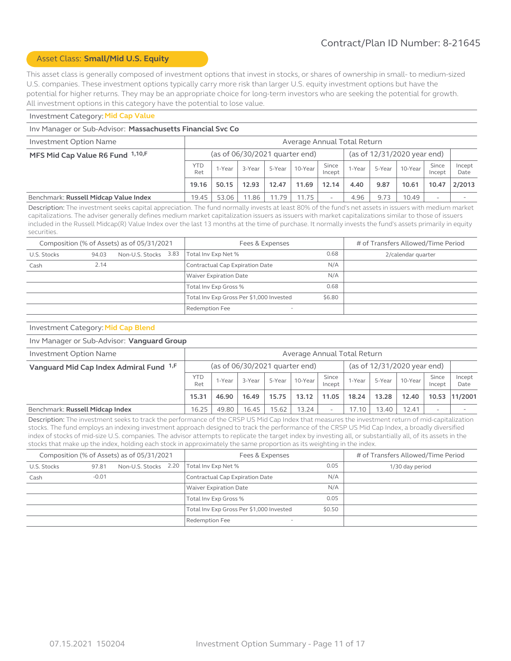#### Asset Class: **Small/Mid U.S. Equity**

This asset class is generally composed of investment options that invest in stocks, or shares of ownership in small- to medium-sized U.S. companies. These investment options typically carry more risk than larger U.S. equity investment options but have the potential for higher returns. They may be an appropriate choice for long-term investors who are seeking the potential for growth. All investment options in this category have the potential to lose value.

#### Investment Category: **Mid Cap Value**

#### Inv Manager or Sub-Advisor: **Massachusetts Financial Svc Co**

| Investment Option Name                | Average Annual Total Return                                   |        |        |        |         |                          |        |        |         |                 |                |
|---------------------------------------|---------------------------------------------------------------|--------|--------|--------|---------|--------------------------|--------|--------|---------|-----------------|----------------|
| MFS Mid Cap Value R6 Fund 1,10,F      | (as of 12/31/2020 year end)<br>(as of 06/30/2021 quarter end) |        |        |        |         |                          |        |        |         |                 |                |
|                                       | YTD<br>Ret                                                    | 1-Year | 3-Year | 5-Year | 10-Year | Since<br>Incept          | 1-Year | 5-Year | 10-Year | Since<br>Incept | Incept<br>Date |
|                                       | 19.16                                                         | 50.15  | 12.93  | 12.47  | 11.69   | 12.14                    | 4.40   | 9.87   | 10.61   | 10.47           | 2/2013         |
| Benchmark: Russell Midcap Value Index | 19.45                                                         | 53.06  | 11.86  | 11.79  | 11.75   | $\overline{\phantom{a}}$ | 4.96   | 9.73   | 10.49   |                 |                |

Description: The investment seeks capital appreciation. The fund normally invests at least 80% of the fund's net assets in issuers with medium market capitalizations. The adviser generally defines medium market capitalization issuers as issuers with market capitalizations similar to those of issuers included in the Russell Midcap(R) Value Index over the last 13 months at the time of purchase. It normally invests the fund's assets primarily in equity securities.

| Composition (% of Assets) as of 05/31/2021 |       |                      |  | Fees & Expenses                            |                    | # of Transfers Allowed/Time Period |
|--------------------------------------------|-------|----------------------|--|--------------------------------------------|--------------------|------------------------------------|
| U.S. Stocks                                | 94.03 | Non-U.S. Stocks 3.83 |  | Total Inv Exp Net %                        | 2/calendar quarter |                                    |
| Cash                                       | 2.14  |                      |  | Contractual Cap Expiration Date            | N/A                |                                    |
|                                            |       |                      |  | <b>Waiver Expiration Date</b>              | N/A                |                                    |
|                                            |       |                      |  | Total Inv Exp Gross %                      | 0.68               |                                    |
|                                            |       |                      |  | Total Inv Exp Gross Per \$1,000 Invested   | \$6.80             |                                    |
|                                            |       |                      |  | Redemption Fee<br>$\overline{\phantom{a}}$ |                    |                                    |

#### Investment Category: **Mid Cap Blend**

#### Inv Manager or Sub-Advisor: **Vanguard Group**

| Investment Option Name                  | Average Annual Total Return                                   |        |        |        |           |                 |        |        |         |                 |                |
|-----------------------------------------|---------------------------------------------------------------|--------|--------|--------|-----------|-----------------|--------|--------|---------|-----------------|----------------|
| Vanguard Mid Cap Index Admiral Fund 1,F | (as of 12/31/2020 year end)<br>(as of 06/30/2021 quarter end) |        |        |        |           |                 |        |        |         |                 |                |
|                                         | <b>YTD</b><br>Ret                                             | 1-Year | 3-Year | 5-Year | $10-Year$ | Since<br>Incept | 1-Year | 5-Year | 10-Year | Since<br>Incept | Incept<br>Date |
|                                         | 15.31                                                         | 46.90  | 16.49  | 15.75  | 13.12     | 11.05           | 18.24  | 13.28  | 12.40   |                 | 10.53 11/2001  |
| Benchmark: Russell Midcap Index         | 16.25                                                         | 49.80  | 16.45  | 15.62  | 13.24     |                 | 7.10   | 13.40  | 12.41   | -               |                |

Description: The investment seeks to track the performance of the CRSP US Mid Cap Index that measures the investment return of mid-capitalization stocks. The fund employs an indexing investment approach designed to track the performance of the CRSP US Mid Cap Index, a broadly diversified index of stocks of mid-size U.S. companies. The advisor attempts to replicate the target index by investing all, or substantially all, of its assets in the stocks that make up the index, holding each stock in approximately the same proportion as its weighting in the index.

| Composition (% of Assets) as of 05/31/2021 |         |                      |  | Fees & Expenses                          | # of Transfers Allowed/Time Period |  |  |
|--------------------------------------------|---------|----------------------|--|------------------------------------------|------------------------------------|--|--|
| U.S. Stocks                                | 97.81   | Non-U.S. Stocks 2.20 |  | Total Inv Exp Net %                      | 1/30 day period                    |  |  |
| Cash                                       | $-0.01$ |                      |  | Contractual Cap Expiration Date          | N/A                                |  |  |
|                                            |         |                      |  | Waiver Expiration Date                   | N/A                                |  |  |
|                                            |         |                      |  | Total Inv Exp Gross %                    | 0.05                               |  |  |
|                                            |         |                      |  | Total Inv Exp Gross Per \$1,000 Invested | \$0.50                             |  |  |
|                                            |         |                      |  | Redemption Fee                           |                                    |  |  |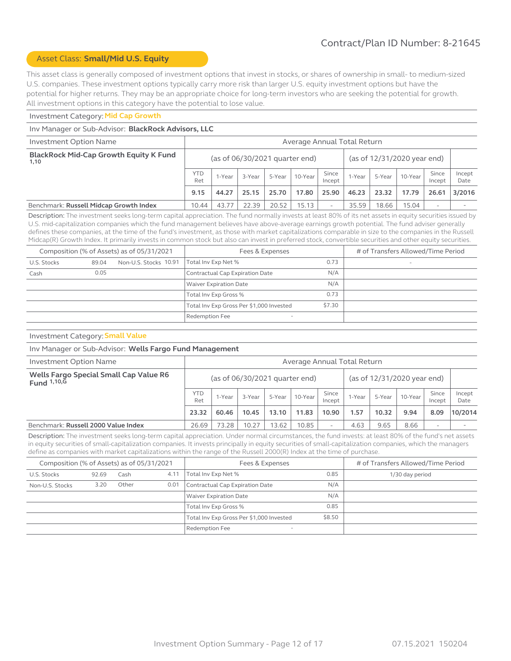#### Asset Class: **Small/Mid U.S. Equity**

This asset class is generally composed of investment options that invest in stocks, or shares of ownership in small- to medium-sized U.S. companies. These investment options typically carry more risk than larger U.S. equity investment options but have the potential for higher returns. They may be an appropriate choice for long-term investors who are seeking the potential for growth. All investment options in this category have the potential to lose value.

#### Investment Category: **Mid Cap Growth**

#### Inv Manager or Sub-Advisor: **BlackRock Advisors, LLC**

| <b>Investment Option Name</b>                         | Average Annual Total Return |                                                                 |        |        |         |                 |        |        |         |                 |                |
|-------------------------------------------------------|-----------------------------|-----------------------------------------------------------------|--------|--------|---------|-----------------|--------|--------|---------|-----------------|----------------|
| <b>BlackRock Mid-Cap Growth Equity K Fund</b><br>1,10 |                             | (as of 12/31/2020 year end)<br>(as of $06/30/2021$ quarter end) |        |        |         |                 |        |        |         |                 |                |
|                                                       | <b>YTD</b><br>Ret           | 1-Year                                                          | 3-Year | 5-Year | 10-Year | Since<br>Incept | 1-Year | 5-Year | 10-Year | Since<br>Incept | Incept<br>Date |
|                                                       | 9.15                        | 44.27                                                           | 25.15  | 25.70  | 17.80   | 25.90           | 46.23  | 23.32  | 17.79   | 26.61           | 3/2016         |
| Benchmark: Russell Midcap Growth Index                | 10.44                       | 43.77                                                           | 22.39  | 20.52  | 15.13   | ۰               | 35.59  | 18.66  | 15.04   |                 |                |

Description: The investment seeks long-term capital appreciation. The fund normally invests at least 80% of its net assets in equity securities issued by U.S. mid-capitalization companies which the fund management believes have above-average earnings growth potential. The fund adviser generally defines these companies, at the time of the fund's investment, as those with market capitalizations comparable in size to the companies in the Russell Midcap(R) Growth Index. It primarily invests in common stock but also can invest in preferred stock, convertible securities and other equity securities.

| Composition (% of Assets) as of 05/31/2021 |       |                       | Fees & Expenses                            | # of Transfers Allowed/Time Period |                          |
|--------------------------------------------|-------|-----------------------|--------------------------------------------|------------------------------------|--------------------------|
| U.S. Stocks                                | 89.04 | Non-U.S. Stocks 10.91 | 0.73<br>Total Inv Exp Net %                |                                    | $\overline{\phantom{a}}$ |
| Cash                                       | 0.05  |                       | Contractual Cap Expiration Date            | N/A                                |                          |
|                                            |       |                       | Waiver Expiration Date                     | N/A                                |                          |
|                                            |       |                       | Total Inv Exp Gross %                      | 0.73                               |                          |
|                                            |       |                       | Total Inv Exp Gross Per \$1,000 Invested   | \$7.30                             |                          |
|                                            |       |                       | Redemption Fee<br>$\overline{\phantom{a}}$ |                                    |                          |

## Investment Category: **Small Value**

#### Inv Manager or Sub-Advisor: **Wells Fargo Fund Management**

| Investment Option Name                                   | Average Annual Total Return |                                                                 |        |        |         |                 |        |        |         |                          |                |
|----------------------------------------------------------|-----------------------------|-----------------------------------------------------------------|--------|--------|---------|-----------------|--------|--------|---------|--------------------------|----------------|
| Wells Fargo Special Small Cap Value R6<br>Fund $1,10,$ G |                             | (as of 12/31/2020 year end)<br>(as of $06/30/2021$ quarter end) |        |        |         |                 |        |        |         |                          |                |
|                                                          | <b>YTD</b><br>Ret           | 1-Year                                                          | 3-Year | 5-Year | 10-Year | Since<br>Incept | 1-Year | 5-Year | 10-Year | Since<br>Incept          | Incept<br>Date |
|                                                          | 23.32                       | 60.46                                                           | 10.45  | 13.10  | 11.83   | 10.90           | 1.57   | 10.32  | 9.94    | 8.09                     | 10/2014        |
| Benchmark: Russell 2000 Value Index                      | 26.69                       | 73.28                                                           | 10.27  | 13.62  | 10.85   | -               | 4.63   | 9.65   | 8.66    | $\overline{\phantom{0}}$ |                |

Description: The investment seeks long-term capital appreciation. Under normal circumstances, the fund invests: at least 80% of the fund's net assets in equity securities of small-capitalization companies. It invests principally in equity securities of small-capitalization companies, which the managers define as companies with market capitalizations within the range of the Russell 2000(R) Index at the time of purchase.

| Composition (% of Assets) as of 05/31/2021 |       |       |      | Fees & Expenses                            |        | # of Transfers Allowed/Time Period |
|--------------------------------------------|-------|-------|------|--------------------------------------------|--------|------------------------------------|
| U.S. Stocks                                | 92.69 | Cash  | 4.11 | Total Inv Exp Net %                        | 0.85   | 1/30 day period                    |
| Non-U.S. Stocks                            | 3.20  | Other | 0.01 | Contractual Cap Expiration Date            | N/A    |                                    |
|                                            |       |       |      | Waiver Expiration Date                     | N/A    |                                    |
|                                            |       |       |      | Total Inv Exp Gross %                      | 0.85   |                                    |
|                                            |       |       |      | Total Inv Exp Gross Per \$1,000 Invested   | \$8.50 |                                    |
|                                            |       |       |      | Redemption Fee<br>$\overline{\phantom{a}}$ |        |                                    |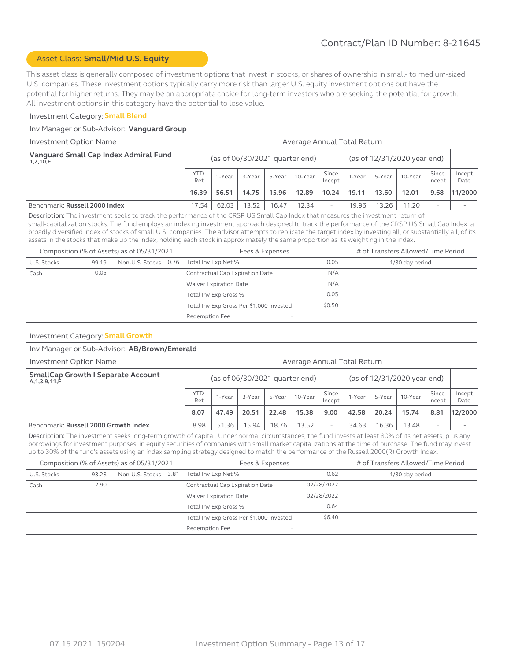#### Asset Class: **Small/Mid U.S. Equity**

This asset class is generally composed of investment options that invest in stocks, or shares of ownership in small- to medium-sized U.S. companies. These investment options typically carry more risk than larger U.S. equity investment options but have the potential for higher returns. They may be an appropriate choice for long-term investors who are seeking the potential for growth. All investment options in this category have the potential to lose value.

#### Investment Category: **Small Blend**

#### Inv Manager or Sub-Advisor: **Vanguard Group**

| <b>Investment Option Name</b>                     | Average Annual Total Return                                                                                      |                                                               |       |       |        |        |         |                 |                |      |         |
|---------------------------------------------------|------------------------------------------------------------------------------------------------------------------|---------------------------------------------------------------|-------|-------|--------|--------|---------|-----------------|----------------|------|---------|
| Vanguard Small Cap Index Admiral Fund<br>1,2,10,F |                                                                                                                  | (as of 12/31/2020 year end)<br>(as of 06/30/2021 quarter end) |       |       |        |        |         |                 |                |      |         |
|                                                   | <b>YTD</b><br>Ret                                                                                                | Since<br>5-Year<br>10-Year<br>3-Year<br>1-Year<br>Incept      |       |       | 1-Year | 5-Year | 10-Year | Since<br>Incept | Incept<br>Date |      |         |
|                                                   | 16.39                                                                                                            | 56.51                                                         | 14.75 | 15.96 | 12.89  | 10.24  | 19.11   | 13.60           | 12.01          | 9.68 | 11/2000 |
| Benchmark: Russell 2000 Index                     | 62.03<br>13.52<br>$12.34$ .<br>19.96<br>13.26<br>11.20<br>16.47<br>17.54<br>$\overline{\phantom{a}}$<br><b>.</b> |                                                               |       |       |        |        |         |                 |                |      |         |

Description: The investment seeks to track the performance of the CRSP US Small Cap Index that measures the investment return of small-capitalization stocks. The fund employs an indexing investment approach designed to track the performance of the CRSP US Small Cap Index, a broadly diversified index of stocks of small U.S. companies. The advisor attempts to replicate the target index by investing all, or substantially all, of its assets in the stocks that make up the index, holding each stock in approximately the same proportion as its weighting in the index.

|             |       | Composition (% of Assets) as of 05/31/2021 | Fees & Expenses                            | # of Transfers Allowed/Time Period |                 |  |
|-------------|-------|--------------------------------------------|--------------------------------------------|------------------------------------|-----------------|--|
| U.S. Stocks | 99.19 | Non-U.S. Stocks 0.76                       | 0.05<br>Total Inv Exp Net %                |                                    | 1/30 day period |  |
| Cash        | 0.05  |                                            | Contractual Cap Expiration Date            | N/A                                |                 |  |
|             |       |                                            | N/A<br><b>Waiver Expiration Date</b>       |                                    |                 |  |
|             |       |                                            | Total Inv Exp Gross %                      | 0.05                               |                 |  |
|             |       |                                            | Total Inv Exp Gross Per \$1,000 Invested   | \$0.50                             |                 |  |
|             |       |                                            | Redemption Fee<br>$\overline{\phantom{a}}$ |                                    |                 |  |

# Investment Category: **Small Growth**

#### Inv Manager or Sub-Advisor: **AB/Brown/Emerald**

| Investment Option Name                                         | Average Annual Total Return      |        |        |        |         |                 |                             |        |         |                 |                |
|----------------------------------------------------------------|----------------------------------|--------|--------|--------|---------|-----------------|-----------------------------|--------|---------|-----------------|----------------|
| <b>SmallCap Growth I Separate Account</b><br>A, 1, 3, 9, 11, F | (as of $06/30/2021$ quarter end) |        |        |        |         |                 | (as of 12/31/2020 year end) |        |         |                 |                |
|                                                                |                                  | 1-Year | 3-Year | 5-Year | 10-Year | Since<br>Incept | 1-Year                      | 5-Year | 10-Year | Since<br>Incept | Incept<br>Date |
|                                                                | 8.07                             | 47.49  | 20.51  | 22.48  | 15.38   | 9.00            | 42.58                       | 20.24  | 15.74   | 8.81            | 12/2000        |
| Benchmark: Russell 2000 Growth Index                           | 8.98                             | 51.36  | 15.94  | 18.76  | 13.52   | -               | 34.63                       | 16.36  | 13.48   | ۰               |                |

Description: The investment seeks long-term growth of capital. Under normal circumstances, the fund invests at least 80% of its net assets, plus any borrowings for investment purposes, in equity securities of companies with small market capitalizations at the time of purchase. The fund may invest up to 30% of the fund's assets using an index sampling strategy designed to match the performance of the Russell 2000(R) Growth Index.

|             |       | Composition (% of Assets) as of 05/31/2021 | Fees & Expenses                                   |            | # of Transfers Allowed/Time Period |  |  |
|-------------|-------|--------------------------------------------|---------------------------------------------------|------------|------------------------------------|--|--|
| U.S. Stocks | 93.28 | Non-U.S. Stocks 3.81                       | 0.62<br>Total Inv Exp Net %                       |            | 1/30 day period                    |  |  |
| Cash        | 2.90  |                                            | Contractual Cap Expiration Date                   | 02/28/2022 |                                    |  |  |
|             |       |                                            | Waiver Expiration Date                            | 02/28/2022 |                                    |  |  |
|             |       |                                            | Total Inv Exp Gross %                             | 0.64       |                                    |  |  |
|             |       |                                            | Total Inv Exp Gross Per \$1,000 Invested          | \$6.40     |                                    |  |  |
|             |       |                                            | <b>Redemption Fee</b><br>$\overline{\phantom{0}}$ |            |                                    |  |  |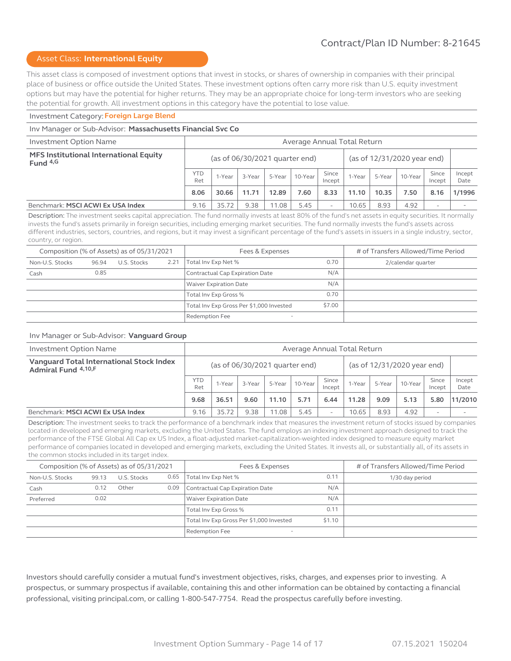#### Asset Class: **International Equity**

This asset class is composed of investment options that invest in stocks, or shares of ownership in companies with their principal place of business or office outside the United States. These investment options often carry more risk than U.S. equity investment options but may have the potential for higher returns. They may be an appropriate choice for long-term investors who are seeking the potential for growth. All investment options in this category have the potential to lose value.

#### Investment Category: **Foreign Large Blend**

#### Inv Manager or Sub-Advisor: **Massachusetts Financial Svc Co**

| Investment Option Name                                | Average Annual Total Return |                                                                 |        |        |         |                 |        |        |         |                          |                |
|-------------------------------------------------------|-----------------------------|-----------------------------------------------------------------|--------|--------|---------|-----------------|--------|--------|---------|--------------------------|----------------|
| MFS Institutional International Equity<br>Fund $4, G$ |                             | (as of 12/31/2020 year end)<br>(as of $06/30/2021$ quarter end) |        |        |         |                 |        |        |         |                          |                |
|                                                       | <b>YTD</b><br>Ret           | 1-Year                                                          | 3-Year | 5-Year | 10-Year | Since<br>Incept | 1-Year | 5-Year | 10-Year | Since<br>Incept          | Incept<br>Date |
|                                                       | 8.06                        | 30.66                                                           | 11.71  | 12.89  | 7.60    | 8.33            | 11.10  | 10.35  | 7.50    | 8.16                     | 1/1996         |
| Benchmark: MSCI ACWI Ex USA Index                     | 9.16                        | 35.72                                                           | 9.38   | 11.08  | 5.45    | ۰               | 10.65  | 8.93   | 4.92    | $\overline{\phantom{a}}$ |                |

Description: The investment seeks capital appreciation. The fund normally invests at least 80% of the fund's net assets in equity securities. It normally invests the fund's assets primarily in foreign securities, including emerging market securities. The fund normally invests the fund's assets across different industries, sectors, countries, and regions, but it may invest a significant percentage of the fund's assets in issuers in a single industry, sector, country, or region.

| Composition (% of Assets) as of 05/31/2021 |       |             |      | Fees & Expenses                          |        | # of Transfers Allowed/Time Period |
|--------------------------------------------|-------|-------------|------|------------------------------------------|--------|------------------------------------|
| Non-U.S. Stocks                            | 96.94 | U.S. Stocks | 2.21 | 0.70<br>Total Inv Exp Net %              |        | 2/calendar quarter                 |
| Cash                                       | 0.85  |             |      | Contractual Cap Expiration Date          | N/A    |                                    |
|                                            |       |             |      | <b>Waiver Expiration Date</b>            | N/A    |                                    |
|                                            |       |             |      | Total Inv Exp Gross %                    | 0.70   |                                    |
|                                            |       |             |      | Total Inv Exp Gross Per \$1,000 Invested | \$7.00 |                                    |
|                                            |       |             |      | Redemption Fee                           |        |                                    |

#### Inv Manager or Sub-Advisor: **Vanguard Group**

| Investment Option Name                                          | Average Annual Total Return |                                  |        |        |         |                             |        |        |         |                 |                |
|-----------------------------------------------------------------|-----------------------------|----------------------------------|--------|--------|---------|-----------------------------|--------|--------|---------|-----------------|----------------|
| Vanguard Total International Stock Index<br>Admiral Fund 4,10,F |                             | (as of $06/30/2021$ quarter end) |        |        |         | (as of 12/31/2020 year end) |        |        |         |                 |                |
|                                                                 | <b>YTD</b><br>Ret           | 1-Year                           | 3-Year | 5-Year | 10-Year | Since<br>Incept             | 1-Year | 5-Year | 10-Year | Since<br>Incept | Incept<br>Date |
|                                                                 | 9.68                        | 36.51                            | 9.60   | 11.10  | 5.71    | 6.44                        | 11.28  | 9.09   | 5.13    | 5.80            | 11/2010        |
| Benchmark: MSCI ACWI Ex USA Index                               | 9.16                        | 35.72                            | 9.38   | 11.08  | 5.45    |                             | 10.65  | 8.93   | 4.92    | ۰               |                |

Description: The investment seeks to track the performance of a benchmark index that measures the investment return of stocks issued by companies located in developed and emerging markets, excluding the United States. The fund employs an indexing investment approach designed to track the performance of the FTSE Global All Cap ex US Index, a float-adjusted market-capitalization-weighted index designed to measure equity market performance of companies located in developed and emerging markets, excluding the United States. It invests all, or substantially all, of its assets in the common stocks included in its target index.

| Composition (% of Assets) as of 05/31/2021 |       |             |      | Fees & Expenses                            | # of Transfers Allowed/Time Period |                 |  |
|--------------------------------------------|-------|-------------|------|--------------------------------------------|------------------------------------|-----------------|--|
| Non-U.S. Stocks                            | 99.13 | U.S. Stocks | 0.65 | 0.11<br>Total Inv Exp Net %                |                                    | 1/30 day period |  |
| Cash                                       | 0.12  | Other       | 0.09 | Contractual Cap Expiration Date            | N/A                                |                 |  |
| Preferred                                  | 0.02  |             |      | <b>Waiver Expiration Date</b>              | N/A                                |                 |  |
|                                            |       |             |      | Total Inv Exp Gross %                      | 0.11                               |                 |  |
|                                            |       |             |      | Total Inv Exp Gross Per \$1,000 Invested   | \$1.10                             |                 |  |
|                                            |       |             |      | Redemption Fee<br>$\overline{\phantom{a}}$ |                                    |                 |  |

Investors should carefully consider a mutual fund's investment objectives, risks, charges, and expenses prior to investing. A prospectus, or summary prospectus if available, containing this and other information can be obtained by contacting a financial professional, visiting principal.com, or calling 1-800-547-7754. Read the prospectus carefully before investing.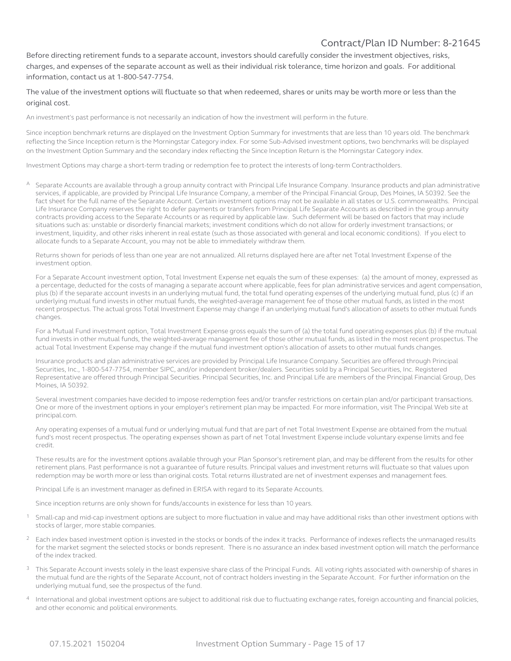Before directing retirement funds to a separate account, investors should carefully consider the investment objectives, risks, charges, and expenses of the separate account as well as their individual risk tolerance, time horizon and goals. For additional information, contact us at 1-800-547-7754.

The value of the investment options will fluctuate so that when redeemed, shares or units may be worth more or less than the original cost.

An investment's past performance is not necessarily an indication of how the investment will perform in the future.

Since inception benchmark returns are displayed on the Investment Option Summary for investments that are less than 10 years old. The benchmark reflecting the Since Inception return is the Morningstar Category index. For some Sub-Advised investment options, two benchmarks will be displayed on the Investment Option Summary and the secondary index reflecting the Since Inception Return is the Morningstar Category index.

Investment Options may charge a short-term trading or redemption fee to protect the interests of long-term Contractholders.

Separate Accounts are available through a group annuity contract with Principal Life Insurance Company. Insurance products and plan administrative services, if applicable, are provided by Principal Life Insurance Company, a member of the Principal Financial Group, Des Moines, IA 50392. See the fact sheet for the full name of the Separate Account. Certain investment options may not be available in all states or U.S. commonwealths. Principal Life Insurance Company reserves the right to defer payments or transfers from Principal Life Separate Accounts as described in the group annuity contracts providing access to the Separate Accounts or as required by applicable law. Such deferment will be based on factors that may include situations such as: unstable or disorderly financial markets; investment conditions which do not allow for orderly investment transactions; or investment, liquidity, and other risks inherent in real estate (such as those associated with general and local economic conditions). If you elect to allocate funds to a Separate Account, you may not be able to immediately withdraw them.

Returns shown for periods of less than one year are not annualized. All returns displayed here are after net Total Investment Expense of the investment option.

For a Separate Account investment option, Total Investment Expense net equals the sum of these expenses: (a) the amount of money, expressed as a percentage, deducted for the costs of managing a separate account where applicable, fees for plan administrative services and agent compensation, plus (b) if the separate account invests in an underlying mutual fund, the total fund operating expenses of the underlying mutual fund, plus (c) if an underlying mutual fund invests in other mutual funds, the weighted-average management fee of those other mutual funds, as listed in the most recent prospectus. The actual gross Total Investment Expense may change if an underlying mutual fund's allocation of assets to other mutual funds changes.

For a Mutual Fund investment option, Total Investment Expense gross equals the sum of (a) the total fund operating expenses plus (b) if the mutual fund invests in other mutual funds, the weighted-average management fee of those other mutual funds, as listed in the most recent prospectus. The actual Total Investment Expense may change if the mutual fund investment option's allocation of assets to other mutual funds changes.

Insurance products and plan administrative services are provided by Principal Life Insurance Company. Securities are offered through Principal Securities, Inc., 1-800-547-7754, member SIPC, and/or independent broker/dealers. Securities sold by a Principal Securities, Inc. Registered Representative are offered through Principal Securities. Principal Securities, Inc. and Principal Life are members of the Principal Financial Group, Des Moines, IA 50392.

Several investment companies have decided to impose redemption fees and/or transfer restrictions on certain plan and/or participant transactions. One or more of the investment options in your employer's retirement plan may be impacted. For more information, visit The Principal Web site at principal.com.

Any operating expenses of a mutual fund or underlying mutual fund that are part of net Total Investment Expense are obtained from the mutual fund's most recent prospectus. The operating expenses shown as part of net Total Investment Expense include voluntary expense limits and fee credit.

These results are for the investment options available through your Plan Sponsor's retirement plan, and may be different from the results for other retirement plans. Past performance is not a guarantee of future results. Principal values and investment returns will fluctuate so that values upon redemption may be worth more or less than original costs. Total returns illustrated are net of investment expenses and management fees.

Principal Life is an investment manager as defined in ERISA with regard to its Separate Accounts.

Since inception returns are only shown for funds/accounts in existence for less than 10 years.

- $1$  Small-cap and mid-cap investment options are subject to more fluctuation in value and may have additional risks than other investment options with stocks of larger, more stable companies.
- <sup>2</sup> Each index based investment option is invested in the stocks or bonds of the index it tracks. Performance of indexes reflects the unmanaged results for the market segment the selected stocks or bonds represent. There is no assurance an index based investment option will match the performance of the index tracked.
- This Separate Account invests solely in the least expensive share class of the Principal Funds. All voting rights associated with ownership of shares in the mutual fund are the rights of the Separate Account, not of contract holders investing in the Separate Account. For further information on the underlying mutual fund, see the prospectus of the fund.
- International and global investment options are subject to additional risk due to fluctuating exchange rates, foreign accounting and financial policies, and other economic and political environments.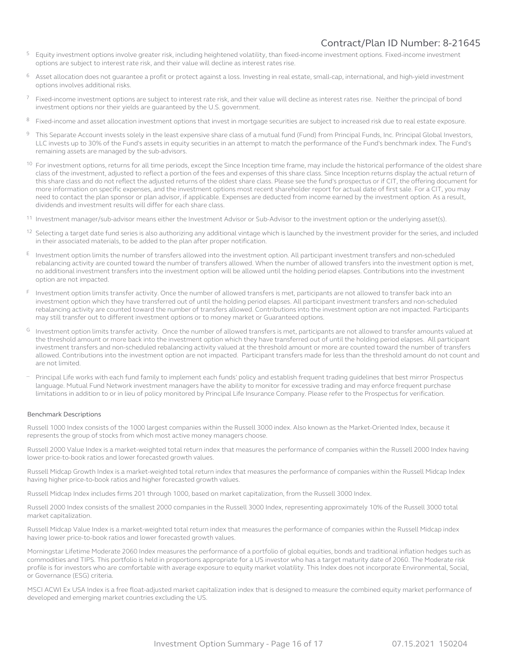- <sup>5</sup> Equity investment options involve greater risk, including heightened volatility, than fixed-income investment options. Fixed-income investment options are subject to interest rate risk, and their value will decline as interest rates rise.
- <sup>6</sup> Asset allocation does not quarantee a profit or protect against a loss. Investing in real estate, small-cap, international, and high-yield investment options involves additional risks.
- Fixed-income investment options are subject to interest rate risk, and their value will decline as interest rates rise. Neither the principal of bond investment options nor their yields are guaranteed by the U.S. government.
- 8 Fixed-income and asset allocation investment options that invest in mortgage securities are subject to increased risk due to real estate exposure.
- 9 This Separate Account invests solely in the least expensive share class of a mutual fund (Fund) from Principal Funds, Inc. Principal Global Investors, LLC invests up to 30% of the Fund's assets in equity securities in an attempt to match the performance of the Fund's benchmark index. The Fund's remaining assets are managed by the sub-advisors.
- <sup>10</sup> For investment options, returns for all time periods, except the Since Inception time frame, may include the historical performance of the oldest share class of the investment, adjusted to reflect a portion of the fees and expenses of this share class. Since Inception returns display the actual return of this share class and do not reflect the adjusted returns of the oldest share class. Please see the fund's prospectus or if CIT, the offering document for more information on specific expenses, and the investment options most recent shareholder report for actual date of first sale. For a CIT, you may need to contact the plan sponsor or plan advisor, if applicable. Expenses are deducted from income earned by the investment option. As a result, dividends and investment results will differ for each share class.
- <sup>11</sup> Investment manager/sub-advisor means either the Investment Advisor or Sub-Advisor to the investment option or the underlying asset(s).
- $12$  Selecting a target date fund series is also authorizing any additional vintage which is launched by the investment provider for the series, and included in their associated materials, to be added to the plan after proper notification.
- <sup>E</sup> Investment option limits the number of transfers allowed into the investment option. All participant investment transfers and non-scheduled rebalancing activity are counted toward the number of transfers allowed. When the number of allowed transfers into the investment option is met, no additional investment transfers into the investment option will be allowed until the holding period elapses. Contributions into the investment option are not impacted.
- <sup>F</sup> Investment option limits transfer activity. Once the number of allowed transfers is met, participants are not allowed to transfer back into an investment option which they have transferred out of until the holding period elapses. All participant investment transfers and non-scheduled rebalancing activity are counted toward the number of transfers allowed. Contributions into the investment option are not impacted. Participants may still transfer out to different investment options or to money market or Guaranteed options.
- <sup>G</sup> Investment option limits transfer activity. Once the number of allowed transfers is met, participants are not allowed to transfer amounts valued at the threshold amount or more back into the investment option which they have transferred out of until the holding period elapses. All participant investment transfers and non-scheduled rebalancing activity valued at the threshold amount or more are counted toward the number of transfers allowed. Contributions into the investment option are not impacted. Participant transfers made for less than the threshold amount do not count and are not limited.
- Principal Life works with each fund family to implement each funds' policy and establish frequent trading quidelines that best mirror Prospectus language. Mutual Fund Network investment managers have the ability to monitor for excessive trading and may enforce frequent purchase limitations in addition to or in lieu of policy monitored by Principal Life Insurance Company. Please refer to the Prospectus for verification.

#### Benchmark Descriptions

Russell 1000 Index consists of the 1000 largest companies within the Russell 3000 index. Also known as the Market-Oriented Index, because it represents the group of stocks from which most active money managers choose.

Russell 2000 Value Index is a market-weighted total return index that measures the performance of companies within the Russell 2000 Index having lower price-to-book ratios and lower forecasted growth values.

Russell Midcap Growth Index is a market-weighted total return index that measures the performance of companies within the Russell Midcap Index having higher price-to-book ratios and higher forecasted growth values.

Russell Midcap Index includes firms 201 through 1000, based on market capitalization, from the Russell 3000 Index.

Russell 2000 Index consists of the smallest 2000 companies in the Russell 3000 Index, representing approximately 10% of the Russell 3000 total market capitalization.

Russell Midcap Value Index is a market-weighted total return index that measures the performance of companies within the Russell Midcap index having lower price-to-book ratios and lower forecasted growth values.

Morningstar Lifetime Moderate 2060 Index measures the performance of a portfolio of global equities, bonds and traditional inflation hedges such as commodities and TIPS. This portfolio is held in proportions appropriate for a US investor who has a target maturity date of 2060. The Moderate risk profile is for investors who are comfortable with average exposure to equity market volatility. This Index does not incorporate Environmental, Social, or Governance (ESG) criteria.

MSCI ACWI Ex USA Index is a free float-adjusted market capitalization index that is designed to measure the combined equity market performance of developed and emerging market countries excluding the US.